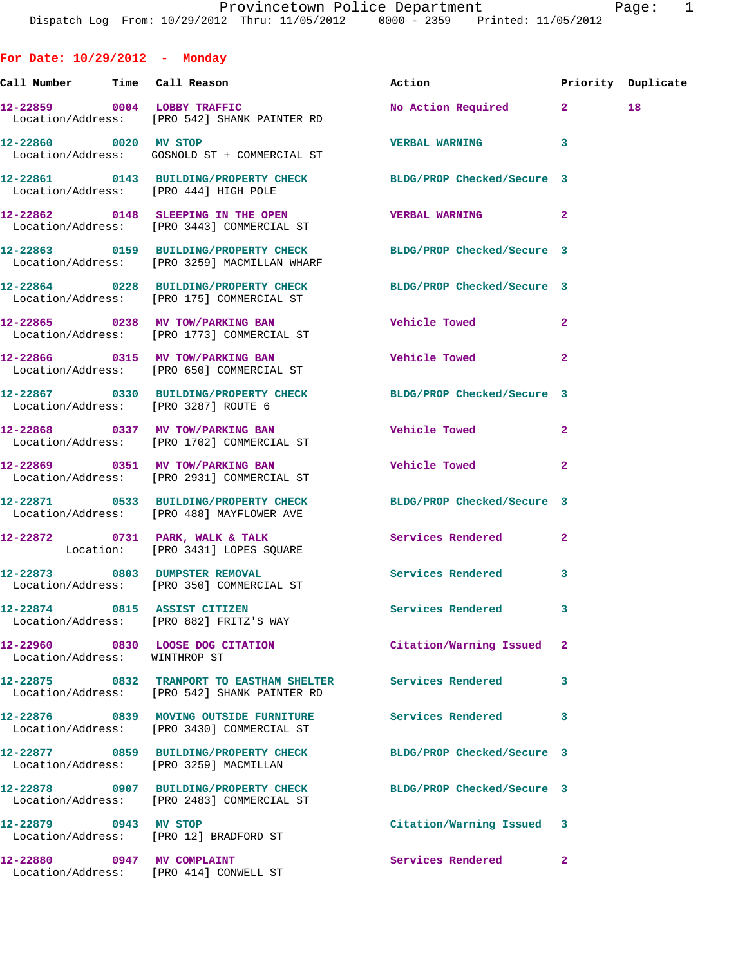**For Date: 10/29/2012 - Monday**

Location/Address: [PRO 414] CONWELL ST

**Call Number Time Call Reason Action Priority Duplicate 12-22859 0004 LOBBY TRAFFIC No Action Required 2 18**  Location/Address: [PRO 542] SHANK PAINTER RD **12-22860 0020 MV STOP VERBAL WARNING 3**  Location/Address: GOSNOLD ST + COMMERCIAL ST **12-22861 0143 BUILDING/PROPERTY CHECK BLDG/PROP Checked/Secure 3**  Location/Address: [PRO 444] HIGH POLE **12-22862 0148 SLEEPING IN THE OPEN VERBAL WARNING 2**  Location/Address: [PRO 3443] COMMERCIAL ST **12-22863 0159 BUILDING/PROPERTY CHECK BLDG/PROP Checked/Secure 3**  Location/Address: [PRO 3259] MACMILLAN WHARF **12-22864 0228 BUILDING/PROPERTY CHECK BLDG/PROP Checked/Secure 3**  Location/Address: [PRO 175] COMMERCIAL ST **12-22865 0238 MV TOW/PARKING BAN Vehicle Towed 2**  Location/Address: [PRO 1773] COMMERCIAL ST **12-22866 0315 MV TOW/PARKING BAN Vehicle Towed 2**  Location/Address: [PRO 650] COMMERCIAL ST **12-22867 0330 BUILDING/PROPERTY CHECK BLDG/PROP Checked/Secure 3**  Location/Address: [PRO 3287] ROUTE 6 **12-22868 0337 MV TOW/PARKING BAN Vehicle Towed 2**  Location/Address: [PRO 1702] COMMERCIAL ST **12-22869 0351 MV TOW/PARKING BAN Vehicle Towed 2**  Location/Address: [PRO 2931] COMMERCIAL ST **12-22871 0533 BUILDING/PROPERTY CHECK BLDG/PROP Checked/Secure 3**  Location/Address: [PRO 488] MAYFLOWER AVE **12-22872 0731 PARK, WALK & TALK Services Rendered 2**  Location: [PRO 3431] LOPES SQUARE **12-22873 0803 DUMPSTER REMOVAL Services Rendered 3**  Location/Address: [PRO 350] COMMERCIAL ST **12-22874 0815 ASSIST CITIZEN Services Rendered 3**  Location/Address: [PRO 882] FRITZ'S WAY **12-22960 0830 LOOSE DOG CITATION Citation/Warning Issued 2**  Location/Address: WINTHROP ST **12-22875 0832 TRANPORT TO EASTHAM SHELTER Services Rendered 3**  Location/Address: [PRO 542] SHANK PAINTER RD **12-22876 0839 MOVING OUTSIDE FURNITURE Services Rendered 3**  Location/Address: [PRO 3430] COMMERCIAL ST **12-22877 0859 BUILDING/PROPERTY CHECK BLDG/PROP Checked/Secure 3**  Location/Address: [PRO 3259] MACMILLAN **12-22878 0907 BUILDING/PROPERTY CHECK BLDG/PROP Checked/Secure 3**  Location/Address: [PRO 2483] COMMERCIAL ST **12-22879 0943 MV STOP Citation/Warning Issued 3**  Location/Address: [PRO 12] BRADFORD ST **12-22880 0947 MV COMPLAINT Services Rendered 2**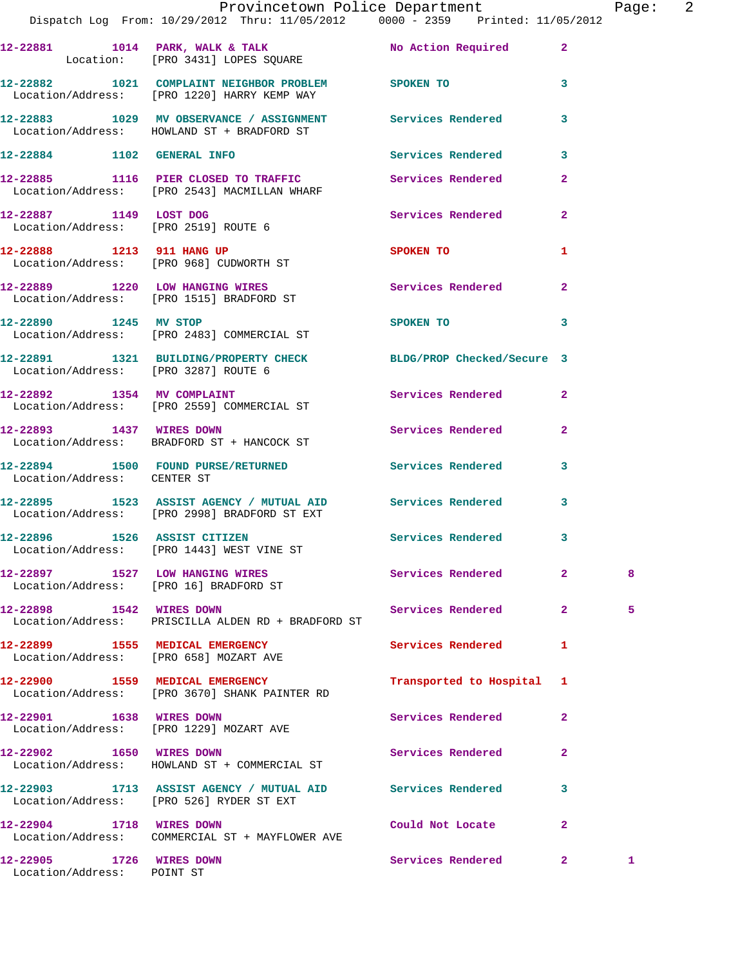|                                                        | Provincetown Police Department<br>Dispatch Log From: $10/29/2012$ Thru: $11/05/2012$ 0000 - 2359 Printed: $11/05/2012$ |                           |              | Page: 2 |  |
|--------------------------------------------------------|------------------------------------------------------------------------------------------------------------------------|---------------------------|--------------|---------|--|
|                                                        | 12-22881 1014 PARK, WALK & TALK 100 No Action Required 2<br>Location: [PRO 3431] LOPES SQUARE                          |                           |              |         |  |
|                                                        | 12-22882 1021 COMPLAINT NEIGHBOR PROBLEM SPOKEN TO 3<br>Location/Address: [PRO 1220] HARRY KEMP WAY                    |                           |              |         |  |
|                                                        | 12-22883 1029 MV OBSERVANCE / ASSIGNMENT Services Rendered 3<br>Location/Address: HOWLAND ST + BRADFORD ST             |                           |              |         |  |
|                                                        | 12-22884 1102 GENERAL INFO Services Rendered 3                                                                         |                           |              |         |  |
|                                                        | 12-22885 1116 PIER CLOSED TO TRAFFIC Services Rendered 2<br>Location/Address: [PRO 2543] MACMILLAN WHARF               |                           |              |         |  |
|                                                        | 12-22887 1149 LOST DOG Services Rendered 2<br>Location/Address: [PRO 2519] ROUTE 6                                     |                           |              |         |  |
|                                                        | 12-22888 1213 911 HANG UP 3POKEN TO<br>Location/Address: [PRO 968] CUDWORTH ST                                         |                           | 1.           |         |  |
|                                                        | 12-22889 1220 LOW HANGING WIRES Services Rendered 2<br>Location/Address: [PRO 1515] BRADFORD ST                        |                           |              |         |  |
|                                                        | 12-22890 1245 MV STOP<br>Location/Address: [PRO 2483] COMMERCIAL ST                                                    | SPOKEN TO                 | 3            |         |  |
| Location/Address: [PRO 3287] ROUTE 6                   | 12-22891 1321 BUILDING/PROPERTY CHECK BLDG/PROP Checked/Secure 3                                                       |                           |              |         |  |
|                                                        | 12-22892 1354 MV COMPLAINT<br>Location/Address: [PRO 2559] COMMERCIAL ST                                               | Services Rendered 2       |              |         |  |
|                                                        | 12-22893 1437 WIRES DOWN<br>Location/Address: BRADFORD ST + HANCOCK ST                                                 | Services Rendered 2       |              |         |  |
| Location/Address: CENTER ST                            | 12-22894 1500 FOUND PURSE/RETURNED Services Rendered 3                                                                 |                           |              |         |  |
|                                                        | 12-22895 1523 ASSIST AGENCY / MUTUAL AID Services Rendered 3<br>Location/Address: [PRO 2998] BRADFORD ST EXT           |                           |              |         |  |
|                                                        | 12-22896 1526 ASSIST CITIZEN 5ervices Rendered 3<br>Location/Address: [PRO 1443] WEST VINE ST                          |                           |              |         |  |
|                                                        | 12-22897 1527 LOW HANGING WIRES<br>Location/Address: [PRO 16] BRADFORD ST                                              | Services Rendered         | $\mathbf{2}$ | 8       |  |
| 12-22898 1542 WIRES DOWN                               | Location/Address: PRISCILLA ALDEN RD + BRADFORD ST                                                                     | Services Rendered 2       |              | 5       |  |
|                                                        | 12-22899 1555 MEDICAL EMERGENCY<br>Location/Address: [PRO 658] MOZART AVE                                              | Services Rendered         | 1            |         |  |
|                                                        | 12-22900 1559 MEDICAL EMERGENCY<br>Location/Address: [PRO 3670] SHANK PAINTER RD                                       | Transported to Hospital 1 |              |         |  |
| 12-22901 1638 WIRES DOWN                               | Location/Address: [PRO 1229] MOZART AVE                                                                                | Services Rendered         | $\mathbf{2}$ |         |  |
| 12-22902 1650 WIRES DOWN                               | Location/Address: HOWLAND ST + COMMERCIAL ST                                                                           | Services Rendered         | $\mathbf{2}$ |         |  |
|                                                        | 12-22903 1713 ASSIST AGENCY / MUTUAL AID Services Rendered 3<br>Location/Address: [PRO 526] RYDER ST EXT               |                           |              |         |  |
| 12-22904 1718 WIRES DOWN                               | Location/Address: COMMERCIAL ST + MAYFLOWER AVE                                                                        | Could Not Locate          | $\mathbf{2}$ |         |  |
| 12-22905 1726 WIRES DOWN<br>Location/Address: POINT ST |                                                                                                                        | Services Rendered 2       |              | 1       |  |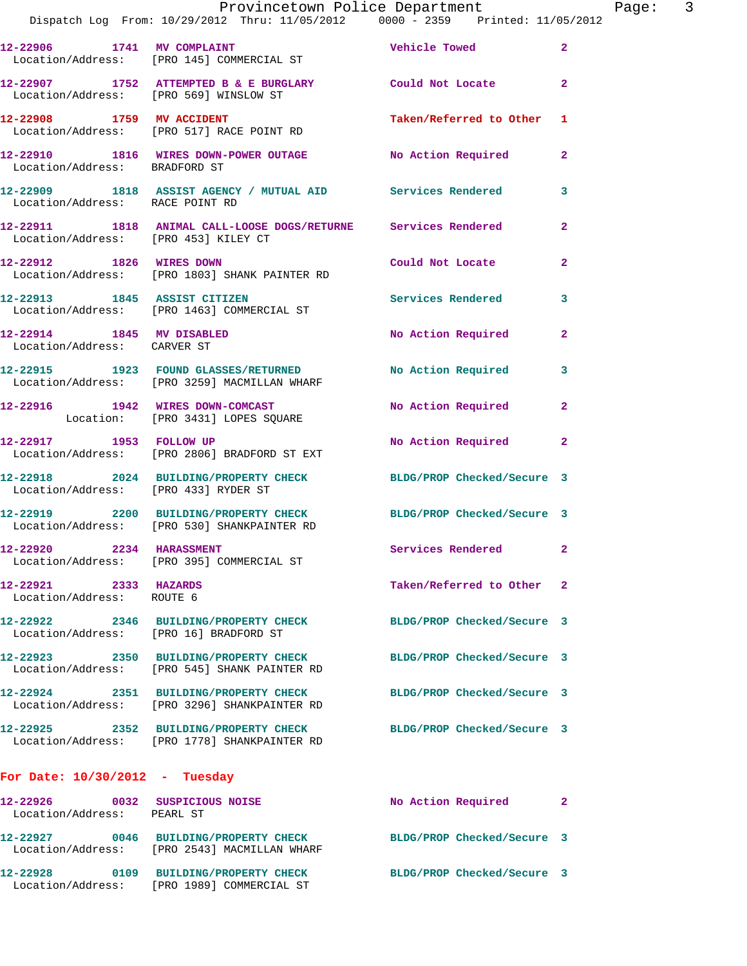|                                                    | Provincetown Police Department<br>Dispatch Log From: 10/29/2012 Thru: 11/05/2012 0000 - 2359 Printed: 11/05/2012 |                            | Page: 3        |
|----------------------------------------------------|------------------------------------------------------------------------------------------------------------------|----------------------------|----------------|
|                                                    | 12-22906 1741 MV COMPLAINT<br>Location/Address: [PRO 145] COMMERCIAL ST                                          | Vehicle Towed              | $\mathbf{2}$   |
|                                                    | 12-22907 1752 ATTEMPTED B & E BURGLARY Could Not Locate<br>Location/Address: [PRO 569] WINSLOW ST                |                            | $\overline{2}$ |
|                                                    | 12-22908 1759 MV ACCIDENT<br>Location/Address: [PRO 517] RACE POINT RD                                           | Taken/Referred to Other 1  |                |
| Location/Address: BRADFORD ST                      | 12-22910 1816 WIRES DOWN-POWER OUTAGE No Action Required 2                                                       |                            |                |
| Location/Address: RACE POINT RD                    | 12-22909 1818 ASSIST AGENCY / MUTUAL AID Services Rendered                                                       |                            | 3              |
| Location/Address: [PRO 453] KILEY CT               | 12-22911 1818 ANIMAL CALL-LOOSE DOGS/RETURNE Services Rendered                                                   |                            | $\overline{a}$ |
|                                                    | 12-22912 1826 WIRES DOWN<br>Location/Address: [PRO 1803] SHANK PAINTER RD                                        | Could Not Locate           | $\overline{a}$ |
|                                                    | 12-22913 1845 ASSIST CITIZEN<br>Location/Address: [PRO 1463] COMMERCIAL ST                                       | Services Rendered          | 3              |
| Location/Address: CARVER ST                        | 12-22914 1845 MV DISABLED                                                                                        | No Action Required 2       |                |
|                                                    | 12-22915 1923 FOUND GLASSES/RETURNED No Action Required<br>Location/Address: [PRO 3259] MACMILLAN WHARF          |                            | 3              |
|                                                    | 12-22916 1942 WIRES DOWN-COMCAST<br>Location: [PRO 3431] LOPES SQUARE                                            | No Action Required 2       |                |
|                                                    | 12-22917 1953 FOLLOW UP<br>Location/Address: [PRO 2806] BRADFORD ST EXT                                          | No Action Required         | 2              |
| Location/Address: [PRO 433] RYDER ST               | 12-22918 2024 BUILDING/PROPERTY CHECK BLDG/PROP Checked/Secure 3                                                 |                            |                |
|                                                    | 12-22919  2200 BUILDING/PROPERTY CHECK BLDG/PROP Checked/Secure 3<br>Location/Address: [PRO 530] SHANKPAINTER RD |                            |                |
| 12-22920 2234 HARASSMENT                           | Location/Address: [PRO 395] COMMERCIAL ST                                                                        | Services Rendered 2        |                |
| 12-22921 2333 HAZARDS<br>Location/Address: ROUTE 6 |                                                                                                                  | Taken/Referred to Other 2  |                |
| Location/Address: [PRO 16] BRADFORD ST             | 12-22922 2346 BUILDING/PROPERTY CHECK                                                                            | BLDG/PROP Checked/Secure 3 |                |
|                                                    | 12-22923 2350 BUILDING/PROPERTY CHECK<br>Location/Address: [PRO 545] SHANK PAINTER RD                            | BLDG/PROP Checked/Secure 3 |                |
|                                                    | 12-22924 2351 BUILDING/PROPERTY CHECK<br>Location/Address: [PRO 3296] SHANKPAINTER RD                            | BLDG/PROP Checked/Secure 3 |                |
|                                                    | 12-22925 2352 BUILDING/PROPERTY CHECK<br>Location/Address: [PRO 1778] SHANKPAINTER RD                            | BLDG/PROP Checked/Secure 3 |                |
| For Date: $10/30/2012$ - Tuesday                   |                                                                                                                  |                            |                |
| Location/Address: PEARL ST                         | 12-22926 0032 SUSPICIOUS NOISE                                                                                   | No Action Required         | 2              |
|                                                    | 12-22927 0046 BUILDING/PROPERTY CHECK<br>Location/Address: [PRO 2543] MACMILLAN WHARF                            | BLDG/PROP Checked/Secure 3 |                |
|                                                    |                                                                                                                  | BLDG/PROP Checked/Secure 3 |                |

Location/Address: [PRO 1989] COMMERCIAL ST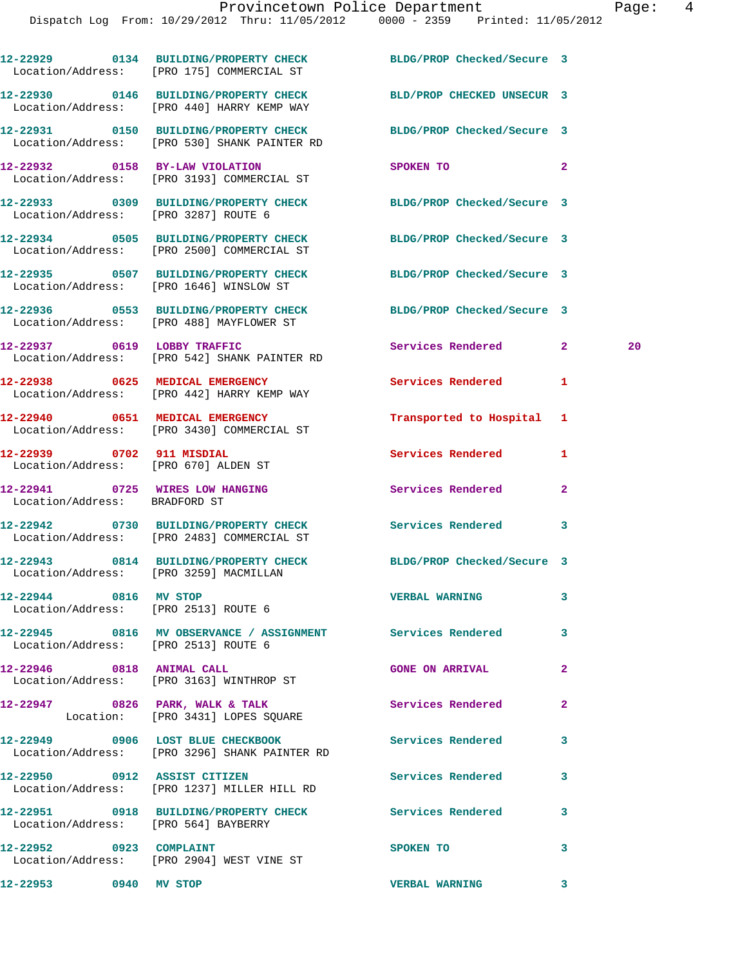|                                                                  | 12-22929 0134 BUILDING/PROPERTY CHECK BLDG/PROP Checked/Secure 3<br>Location/Address: [PRO 175] COMMERCIAL ST    |                            |                    |
|------------------------------------------------------------------|------------------------------------------------------------------------------------------------------------------|----------------------------|--------------------|
|                                                                  | 12-22930 0146 BUILDING/PROPERTY CHECK<br>Location/Address: [PRO 440] HARRY KEMP WAY                              | BLD/PROP CHECKED UNSECUR 3 |                    |
|                                                                  | 12-22931 0150 BUILDING/PROPERTY CHECK BLDG/PROP Checked/Secure 3<br>Location/Address: [PRO 530] SHANK PAINTER RD |                            |                    |
|                                                                  | 12-22932 0158 BY-LAW VIOLATION<br>Location/Address: [PRO 3193] COMMERCIAL ST                                     | SPOKEN TO                  | $\overline{2}$     |
| Location/Address: [PRO 3287] ROUTE 6                             | 12-22933 0309 BUILDING/PROPERTY CHECK BLDG/PROP Checked/Secure 3                                                 |                            |                    |
|                                                                  | 12-22934 0505 BUILDING/PROPERTY CHECK<br>Location/Address: [PRO 2500] COMMERCIAL ST                              | BLDG/PROP Checked/Secure 3 |                    |
|                                                                  | 12-22935 0507 BUILDING/PROPERTY CHECK<br>Location/Address: [PRO 1646] WINSLOW ST                                 | BLDG/PROP Checked/Secure 3 |                    |
|                                                                  | 12-22936 0553 BUILDING/PROPERTY CHECK<br>Location/Address: [PRO 488] MAYFLOWER ST                                | BLDG/PROP Checked/Secure 3 |                    |
|                                                                  | 12-22937 0619 LOBBY TRAFFIC<br>Location/Address: [PRO 542] SHANK PAINTER RD                                      | <b>Services Rendered</b>   | $\mathbf{2}$<br>20 |
|                                                                  | 12-22938 0625 MEDICAL EMERGENCY<br>Location/Address: [PRO 442] HARRY KEMP WAY                                    | <b>Services Rendered</b>   | 1                  |
|                                                                  | 12-22940 0651 MEDICAL EMERGENCY<br>Location/Address: [PRO 3430] COMMERCIAL ST                                    | Transported to Hospital 1  |                    |
| 12-22939 0702 911 MISDIAL                                        | Location/Address: [PRO 670] ALDEN ST                                                                             | Services Rendered          | 1                  |
| 12-22941 0725 WIRES LOW HANGING<br>Location/Address: BRADFORD ST |                                                                                                                  | Services Rendered          | 2                  |
|                                                                  | 12-22942 0730 BUILDING/PROPERTY CHECK Services Rendered 3<br>Location/Address: [PRO 2483] COMMERCIAL ST          |                            |                    |
| Location/Address: [PRO 3259] MACMILLAN                           | 12-22943 0814 BUILDING/PROPERTY CHECK BLDG/PROP Checked/Secure 3                                                 |                            |                    |
| 12-22944 0816 MV STOP                                            | Location/Address: [PRO 2513] ROUTE 6                                                                             | <b>VERBAL WARNING</b>      |                    |
| Location/Address: [PRO 2513] ROUTE 6                             | 12-22945 0816 MV OBSERVANCE / ASSIGNMENT Services Rendered                                                       |                            | 3                  |
|                                                                  | 12-22946 0818 ANIMAL CALL<br>Location/Address: [PRO 3163] WINTHROP ST                                            | <b>GONE ON ARRIVAL</b>     | $\overline{a}$     |
|                                                                  | $12-22947$ 0826 PARK, WALK & TALK<br>Location: [PRO 3431] LOPES SQUARE                                           | Services Rendered          | $\mathbf{2}$       |
|                                                                  | 12-22949 0906 LOST BLUE CHECKBOOK Services Rendered<br>Location/Address: [PRO 3296] SHANK PAINTER RD             |                            | 3                  |
|                                                                  | 12-22950 0912 ASSIST CITIZEN<br>Location/Address: [PRO 1237] MILLER HILL RD                                      | <b>Services Rendered</b>   | 3                  |
| Location/Address: [PRO 564] BAYBERRY                             | 12-22951 0918 BUILDING/PROPERTY CHECK Services Rendered                                                          |                            | 3                  |
|                                                                  | 12-22952 0923 COMPLAINT<br>Location/Address: [PRO 2904] WEST VINE ST                                             | SPOKEN TO                  | 3                  |
| 12-22953 0940 MV STOP                                            |                                                                                                                  | <b>VERBAL WARNING</b>      | 3                  |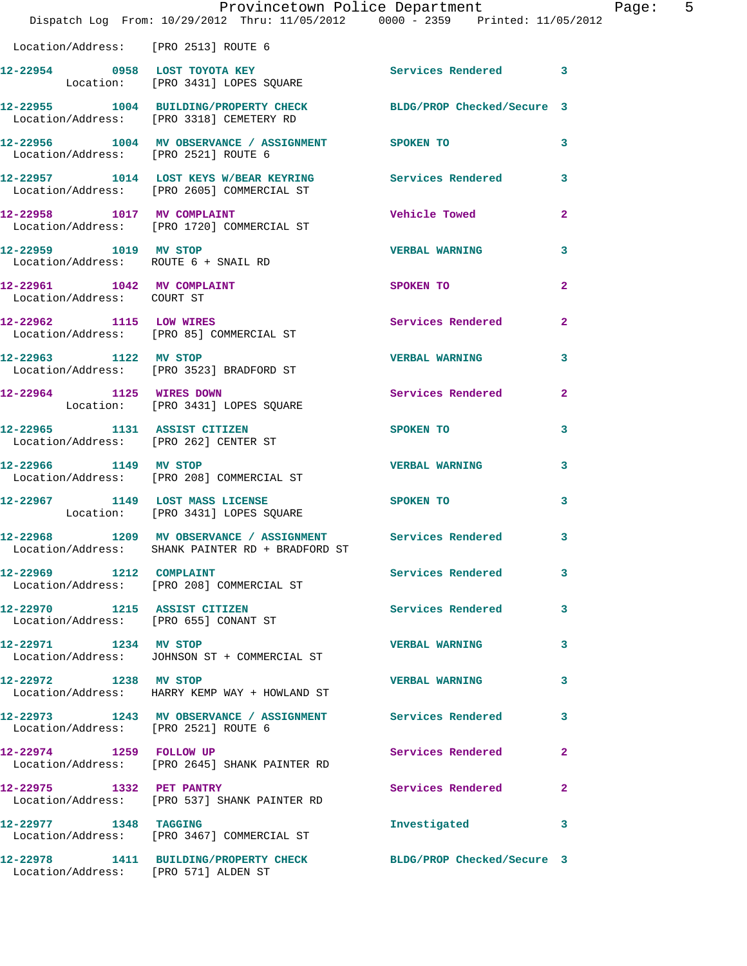|                                                                       | Provincetown Police Department<br>Dispatch Log From: 10/29/2012 Thru: 11/05/2012 0000 - 2359 Printed: 11/05/2012 |                          |                |
|-----------------------------------------------------------------------|------------------------------------------------------------------------------------------------------------------|--------------------------|----------------|
| Location/Address: [PRO 2513] ROUTE 6                                  |                                                                                                                  |                          |                |
|                                                                       | 12-22954 0958 LOST TOYOTA KEY<br>Location: [PRO 3431] LOPES SQUARE                                               | Services Rendered 3      |                |
|                                                                       | 12-22955 1004 BUILDING/PROPERTY CHECK BLDG/PROP Checked/Secure 3<br>Location/Address: [PRO 3318] CEMETERY RD     |                          |                |
| Location/Address: [PRO 2521] ROUTE 6                                  | 12-22956 1004 MV OBSERVANCE / ASSIGNMENT SPOKEN TO                                                               |                          | 3              |
|                                                                       | 12-22957 1014 LOST KEYS W/BEAR KEYRING Services Rendered<br>Location/Address: [PRO 2605] COMMERCIAL ST           |                          | 3              |
|                                                                       | 12-22958 1017 MV COMPLAINT<br>Location/Address: [PRO 1720] COMMERCIAL ST                                         | <b>Vehicle Towed</b>     | $\overline{a}$ |
| 12-22959 1019 MV STOP                                                 | Location/Address: ROUTE 6 + SNAIL RD                                                                             | <b>VERBAL WARNING</b>    | 3              |
| 12-22961 1042 MV COMPLAINT<br>Location/Address: COURT ST              |                                                                                                                  | SPOKEN TO                | $\overline{a}$ |
|                                                                       | 12-22962 1115 LOW WIRES<br>Location/Address: [PRO 85] COMMERCIAL ST                                              | <b>Services Rendered</b> | $\overline{a}$ |
| 12-22963 1122 MV STOP                                                 | Location/Address: [PRO 3523] BRADFORD ST                                                                         | <b>VERBAL WARNING</b>    | 3              |
|                                                                       | 12-22964 1125 WIRES DOWN<br>Location: [PRO 3431] LOPES SQUARE                                                    | Services Rendered        | $\overline{a}$ |
|                                                                       | 12-22965 1131 ASSIST CITIZEN<br>Location/Address: [PRO 262] CENTER ST                                            | SPOKEN TO                | 3              |
|                                                                       | 12-22966 1149 MV STOP<br>Location/Address: [PRO 208] COMMERCIAL ST                                               | <b>VERBAL WARNING</b>    | 3              |
|                                                                       | 12-22967 1149 LOST MASS LICENSE<br>Location: [PRO 3431] LOPES SQUARE                                             | SPOKEN TO                | 3              |
|                                                                       | 12-22968 1209 MV OBSERVANCE / ASSIGNMENT Services Rendered<br>Location/Address: SHANK PAINTER RD + BRADFORD ST   |                          | 3              |
|                                                                       | 12-22969               1212    COMPLAINT<br>Location/Address:      [PRO 208] COMMERCIAL ST                       | Services Rendered        | 3              |
| 12-22970 1215 ASSIST CITIZEN<br>Location/Address: [PRO 655] CONANT ST |                                                                                                                  | Services Rendered        | 3              |
| 12-22971 1234 MV STOP                                                 | Location/Address: JOHNSON ST + COMMERCIAL ST                                                                     | <b>VERBAL WARNING</b>    | 3              |
| 12-22972 1238 MV STOP                                                 | Location/Address: HARRY KEMP WAY + HOWLAND ST                                                                    | <b>VERBAL WARNING</b>    | 3              |
| Location/Address: [PRO 2521] ROUTE 6                                  | 12-22973 1243 MV OBSERVANCE / ASSIGNMENT Services Rendered                                                       |                          | 3              |
|                                                                       | 12-22974 1259 FOLLOW UP<br>Location/Address: [PRO 2645] SHANK PAINTER RD                                         | Services Rendered        | $\mathbf{2}$   |
| 12-22975 1332 PET PANTRY                                              | Location/Address: [PRO 537] SHANK PAINTER RD                                                                     | Services Rendered        | $\mathbf{2}$   |
| 12-22977 1348 TAGGING                                                 | Location/Address: [PRO 3467] COMMERCIAL ST                                                                       | Investigated             | 3              |
| Location/Address: [PRO 571] ALDEN ST                                  | 12-22978 1411 BUILDING/PROPERTY CHECK BLDG/PROP Checked/Secure 3                                                 |                          |                |

Page: 5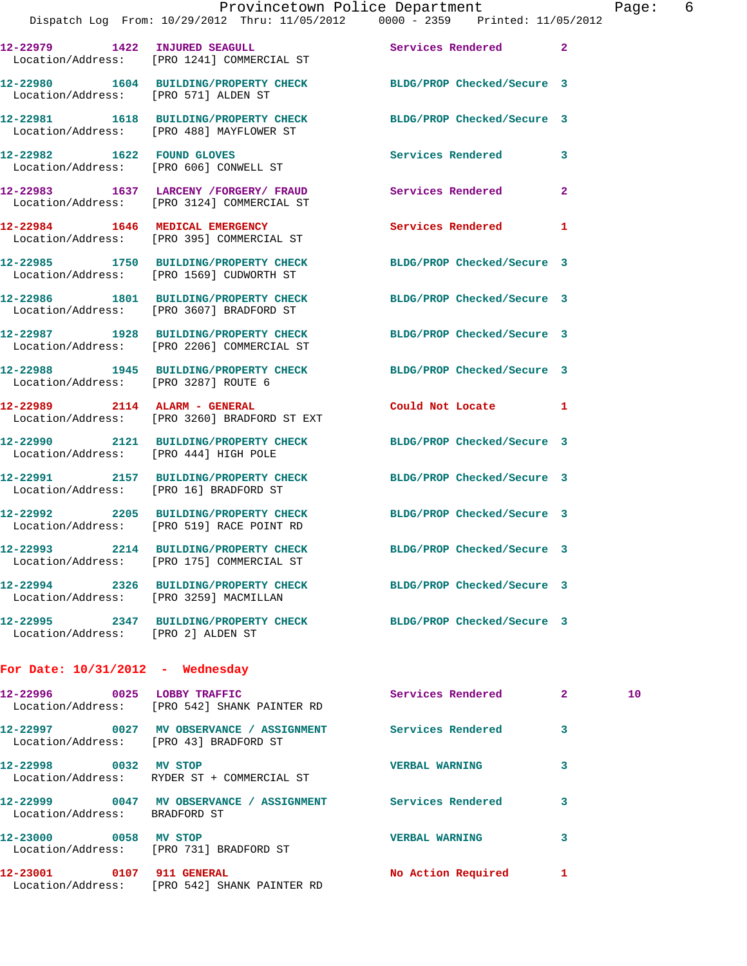|                                        |                                                                                                      | Provincetown Police Department                                                                               |                            | Page: 6 |  |
|----------------------------------------|------------------------------------------------------------------------------------------------------|--------------------------------------------------------------------------------------------------------------|----------------------------|---------|--|
|                                        |                                                                                                      | Dispatch Log From: 10/29/2012 Thru: 11/05/2012 0000 - 2359 Printed: 11/05/2012                               |                            |         |  |
|                                        | Location/Address: [PRO 1241] COMMERCIAL ST                                                           | 12-22979 1422 INJURED SEAGULL Services Rendered 2                                                            |                            |         |  |
|                                        |                                                                                                      | 12-22980 1604 BUILDING/PROPERTY CHECK BLDG/PROP Checked/Secure 3<br>Location/Address: [PRO 571] ALDEN ST     |                            |         |  |
|                                        |                                                                                                      | 12-22981 1618 BUILDING/PROPERTY CHECK BLDG/PROP Checked/Secure 3<br>Location/Address: [PRO 488] MAYFLOWER ST |                            |         |  |
|                                        | 12-22982 1622 FOUND GLOVES<br>Location/Address: [PRO 606] CONWELL ST                                 | Services Rendered 3                                                                                          |                            |         |  |
|                                        | Location/Address: [PRO 3124] COMMERCIAL ST                                                           | 12-22983 1637 LARCENY /FORGERY/ FRAUD Services Rendered                                                      | $\overline{2}$             |         |  |
|                                        | 12-22984 1646 MEDICAL EMERGENCY<br>Location/Address: [PRO 395] COMMERCIAL ST                         | Services Rendered 1                                                                                          |                            |         |  |
|                                        | Location/Address: [PRO 1569] CUDWORTH ST                                                             | 12-22985 1750 BUILDING/PROPERTY CHECK BLDG/PROP Checked/Secure 3                                             |                            |         |  |
|                                        | Location/Address: [PRO 3607] BRADFORD ST                                                             | 12-22986 1801 BUILDING/PROPERTY CHECK BLDG/PROP Checked/Secure 3                                             |                            |         |  |
|                                        | Location/Address: [PRO 2206] COMMERCIAL ST                                                           | 12-22987 1928 BUILDING/PROPERTY CHECK BLDG/PROP Checked/Secure 3                                             |                            |         |  |
| Location/Address: [PRO 3287] ROUTE 6   |                                                                                                      | 12-22988 1945 BUILDING/PROPERTY CHECK BLDG/PROP Checked/Secure 3                                             |                            |         |  |
|                                        | 12-22989 2114 ALARM - GENERAL<br>Location/Address: [PRO 3260] BRADFORD ST EXT                        | Could Not Locate 1                                                                                           |                            |         |  |
| Location/Address: [PRO 444] HIGH POLE  |                                                                                                      | 12-22990 2121 BUILDING/PROPERTY CHECK BLDG/PROP Checked/Secure 3                                             |                            |         |  |
|                                        |                                                                                                      | 12-22991 2157 BUILDING/PROPERTY CHECK BLDG/PROP Checked/Secure 3<br>Location/Address: [PRO 16] BRADFORD ST   |                            |         |  |
|                                        | Location/Address: [PRO 519] RACE POINT RD                                                            | 12-22992 2205 BUILDING/PROPERTY CHECK BLDG/PROP Checked/Secure 3                                             |                            |         |  |
|                                        | 12-22993 2214 BUILDING/PROPERTY CHECK<br>Location/Address: [PRO 175] COMMERCIAL ST                   | BLDG/PROP Checked/Secure 3                                                                                   |                            |         |  |
| Location/Address: [PRO 3259] MACMILLAN | 12-22994 2326 BUILDING/PROPERTY CHECK                                                                | BLDG/PROP Checked/Secure 3                                                                                   |                            |         |  |
| Location/Address: [PRO 2] ALDEN ST     | 12-22995 2347 BUILDING/PROPERTY CHECK                                                                | BLDG/PROP Checked/Secure 3                                                                                   |                            |         |  |
| For Date: $10/31/2012$ - Wednesday     |                                                                                                      |                                                                                                              |                            |         |  |
|                                        | 12-22996 0025 LOBBY TRAFFIC<br>Location/Address: [PRO 542] SHANK PAINTER RD                          | Services Rendered                                                                                            | $\mathbf{2}$               | 10      |  |
|                                        | 12-22997 0027 MV OBSERVANCE / ASSIGNMENT Services Rendered<br>Location/Address: [PRO 43] BRADFORD ST |                                                                                                              | $\overline{\phantom{a}}$ 3 |         |  |

**12-22998 0032 MV STOP VERBAL WARNING 3** 

**12-22999 0047 MV OBSERVANCE / ASSIGNMENT Services Rendered 3** 

**12-23000 0058 MV STOP VERBAL WARNING 3** 

**12-23001 0107 911 GENERAL No Action Required 1** 

Location/Address: RYDER ST + COMMERCIAL ST

Location/Address: [PRO 731] BRADFORD ST

Location/Address: [PRO 542] SHANK PAINTER RD

Location/Address: BRADFORD ST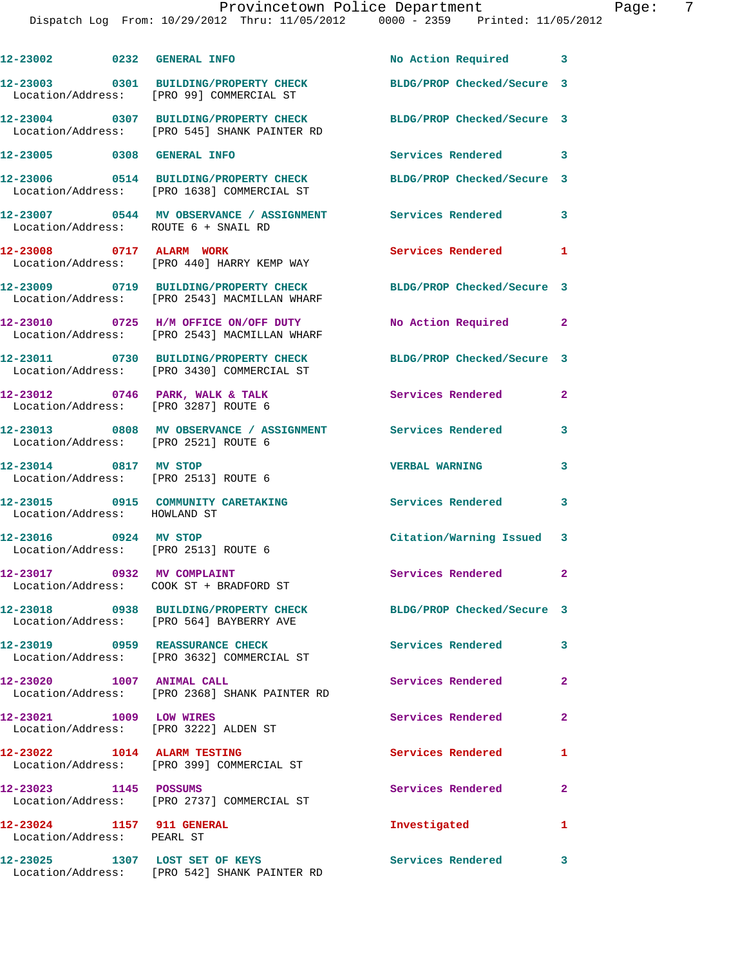## Provincetown Police Department Fage: 7

| 12-23002 0232 GENERAL INFO                                       |                                                                                       | No Action Required 3       |                |
|------------------------------------------------------------------|---------------------------------------------------------------------------------------|----------------------------|----------------|
|                                                                  | 12-23003 0301 BUILDING/PROPERTY CHECK<br>Location/Address: [PRO 99] COMMERCIAL ST     | BLDG/PROP Checked/Secure 3 |                |
|                                                                  | 12-23004 0307 BUILDING/PROPERTY CHECK<br>Location/Address: [PRO 545] SHANK PAINTER RD | BLDG/PROP Checked/Secure 3 |                |
| 12-23005 0308 GENERAL INFO                                       |                                                                                       | Services Rendered 3        |                |
|                                                                  | 12-23006 0514 BUILDING/PROPERTY CHECK<br>Location/Address: [PRO 1638] COMMERCIAL ST   | BLDG/PROP Checked/Secure 3 |                |
| Location/Address: ROUTE 6 + SNAIL RD                             | 12-23007 0544 MV OBSERVANCE / ASSIGNMENT Services Rendered                            |                            | 3              |
| 12-23008 0717 ALARM WORK                                         | Location/Address: [PRO 440] HARRY KEMP WAY                                            | Services Rendered          | 1              |
|                                                                  | 12-23009 0719 BUILDING/PROPERTY CHECK<br>Location/Address: [PRO 2543] MACMILLAN WHARF | BLDG/PROP Checked/Secure 3 |                |
|                                                                  | 12-23010 0725 H/M OFFICE ON/OFF DUTY<br>Location/Address: [PRO 2543] MACMILLAN WHARF  | No Action Required         | $\overline{2}$ |
|                                                                  | 12-23011 0730 BUILDING/PROPERTY CHECK<br>Location/Address: [PRO 3430] COMMERCIAL ST   | BLDG/PROP Checked/Secure 3 |                |
| Location/Address: [PRO 3287] ROUTE 6                             | $12-23012$ 0746 PARK, WALK & TALK                                                     | Services Rendered          | $\mathbf{2}$   |
| Location/Address: [PRO 2521] ROUTE 6                             | 12-23013 0808 MV OBSERVANCE / ASSIGNMENT                                              | Services Rendered          | 3              |
| 12-23014 0817 MV STOP<br>Location/Address: [PRO 2513] ROUTE 6    |                                                                                       | <b>VERBAL WARNING</b>      | 3              |
| Location/Address: HOWLAND ST                                     | 12-23015 0915 COMMUNITY CARETAKING                                                    | Services Rendered          | 3              |
| 12-23016 0924 MV STOP<br>Location/Address: [PRO 2513] ROUTE 6    |                                                                                       | Citation/Warning Issued 3  |                |
| 12-23017 0932 MV COMPLAINT                                       |                                                                                       | Services Rendered          | $\mathbf{2}$   |
|                                                                  | 12-23018 0938 BUILDING/PROPERTY CHECK<br>Location/Address: [PRO 564] BAYBERRY AVE     | BLDG/PROP Checked/Secure 3 |                |
|                                                                  | 12-23019 0959 REASSURANCE CHECK<br>Location/Address: [PRO 3632] COMMERCIAL ST         | <b>Services Rendered</b>   | 3              |
| 12-23020 1007 ANIMAL CALL                                        | Location/Address: [PRO 2368] SHANK PAINTER RD                                         | Services Rendered          | $\mathbf{2}$   |
| 12-23021 1009 LOW WIRES<br>Location/Address: [PRO 3222] ALDEN ST |                                                                                       | Services Rendered          | $\mathbf{2}$   |
|                                                                  | 12-23022 1014 ALARM TESTING<br>Location/Address: [PRO 399] COMMERCIAL ST              | <b>Services Rendered</b>   | 1              |
| 12-23023 1145 POSSUMS                                            | Location/Address: [PRO 2737] COMMERCIAL ST                                            | Services Rendered          | $\mathbf{2}$   |
| 12-23024 1157 911 GENERAL<br>Location/Address: PEARL ST          |                                                                                       | Investigated               | 1              |
| 12-23025 1307 LOST SET OF KEYS                                   | Location/Address: [PRO 542] SHANK PAINTER RD                                          | Services Rendered          | 3              |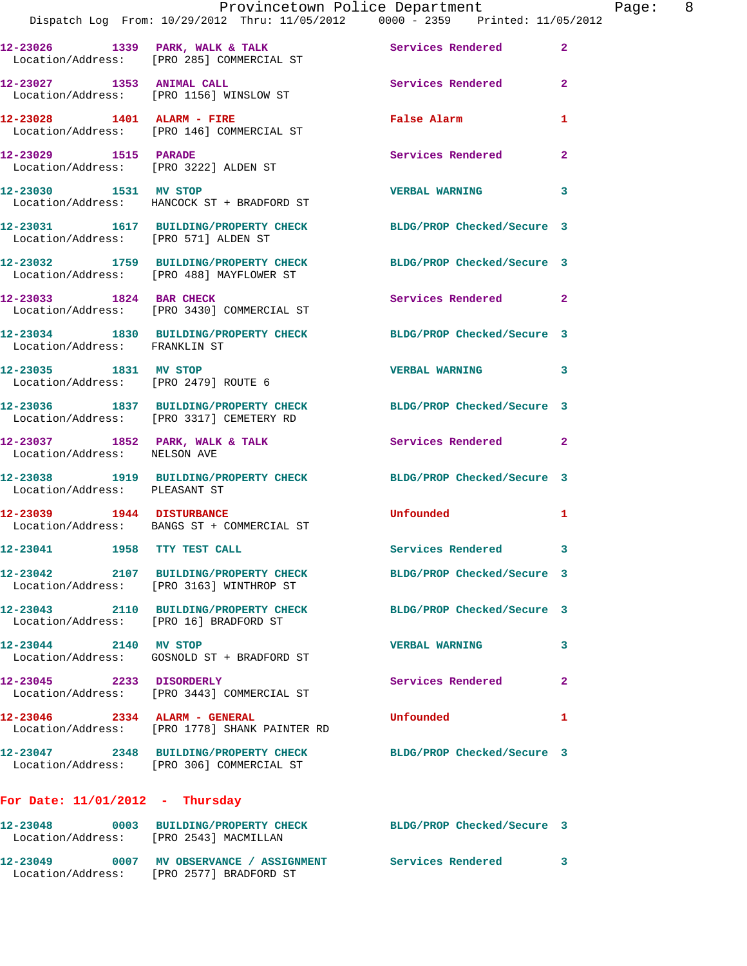|                                                               | Provincetown Police Department<br>Dispatch Log From: 10/29/2012 Thru: 11/05/2012 0000 - 2359 Printed: 11/05/2012 |                            |                |
|---------------------------------------------------------------|------------------------------------------------------------------------------------------------------------------|----------------------------|----------------|
|                                                               | 12-23026 1339 PARK, WALK & TALK 1988 Services Rendered<br>Location/Address: [PRO 285] COMMERCIAL ST              |                            | $\overline{a}$ |
| 12-23027 1353 ANIMAL CALL                                     | Location/Address: [PRO 1156] WINSLOW ST                                                                          | Services Rendered          | $\overline{2}$ |
|                                                               | 12-23028 1401 ALARM - FIRE<br>Location/Address: [PRO 146] COMMERCIAL ST                                          | False Alarm                | 1              |
| 12-23029 1515 PARADE                                          | Location/Address: [PRO 3222] ALDEN ST                                                                            | <b>Services Rendered</b>   | $\mathbf{2}$   |
| 12-23030 1531 MV STOP                                         | Location/Address: HANCOCK ST + BRADFORD ST                                                                       | <b>VERBAL WARNING</b>      | 3              |
| Location/Address: [PRO 571] ALDEN ST                          | 12-23031 1617 BUILDING/PROPERTY CHECK BLDG/PROP Checked/Secure 3                                                 |                            |                |
|                                                               | 12-23032 1759 BUILDING/PROPERTY CHECK<br>Location/Address: [PRO 488] MAYFLOWER ST                                | BLDG/PROP Checked/Secure 3 |                |
|                                                               | 12-23033 1824 BAR CHECK<br>Location/Address: [PRO 3430] COMMERCIAL ST                                            | <b>Services Rendered</b>   | $\mathbf{2}$   |
| Location/Address: FRANKLIN ST                                 | 12-23034 1830 BUILDING/PROPERTY CHECK BLDG/PROP Checked/Secure 3                                                 |                            |                |
| 12-23035 1831 MV STOP<br>Location/Address: [PRO 2479] ROUTE 6 |                                                                                                                  | <b>VERBAL WARNING</b>      | 3              |
|                                                               | 12-23036 1837 BUILDING/PROPERTY CHECK BLDG/PROP Checked/Secure 3<br>Location/Address: [PRO 3317] CEMETERY RD     |                            |                |
| Location/Address: NELSON AVE                                  | 12-23037 1852 PARK, WALK & TALK                                                                                  | <b>Services Rendered</b>   | 2              |
| Location/Address: PLEASANT ST                                 | 12-23038 1919 BUILDING/PROPERTY CHECK BLDG/PROP Checked/Secure 3                                                 |                            |                |
|                                                               | 12-23039 1944 DISTURBANCE<br>Location/Address: BANGS ST + COMMERCIAL ST                                          | Unfounded                  | 1              |
| 12-23041 1958 TTY TEST CALL                                   |                                                                                                                  | <b>Services Rendered</b>   |                |
|                                                               | 12-23042 2107 BUILDING/PROPERTY CHECK<br>Location/Address: [PRO 3163] WINTHROP ST                                | BLDG/PROP Checked/Secure 3 |                |
| Location/Address: [PRO 16] BRADFORD ST                        | 12-23043 2110 BUILDING/PROPERTY CHECK                                                                            | BLDG/PROP Checked/Secure 3 |                |
| 12-23044 2140 MV STOP                                         | Location/Address: GOSNOLD ST + BRADFORD ST                                                                       | <b>VERBAL WARNING</b>      | 3              |
| 12-23045 2233 DISORDERLY                                      | Location/Address: [PRO 3443] COMMERCIAL ST                                                                       | Services Rendered          | 2              |
| 12-23046 2334 ALARM - GENERAL                                 | Location/Address: [PRO 1778] SHANK PAINTER RD                                                                    | Unfounded                  | 1              |
|                                                               | 12-23047 2348 BUILDING/PROPERTY CHECK<br>Location/Address: [PRO 306] COMMERCIAL ST                               | BLDG/PROP Checked/Secure 3 |                |
| For Date: $11/01/2012$ - Thursday                             |                                                                                                                  |                            |                |
| Location/Address: [PRO 2543] MACMILLAN                        | 12-23048 0003 BUILDING/PROPERTY CHECK BLDG/PROP Checked/Secure 3                                                 |                            |                |
|                                                               | 12-23049 0007 MV OBSERVANCE / ASSIGNMENT Services Rendered                                                       |                            | 3              |

Location/Address: [PRO 2577] BRADFORD ST

Page: 8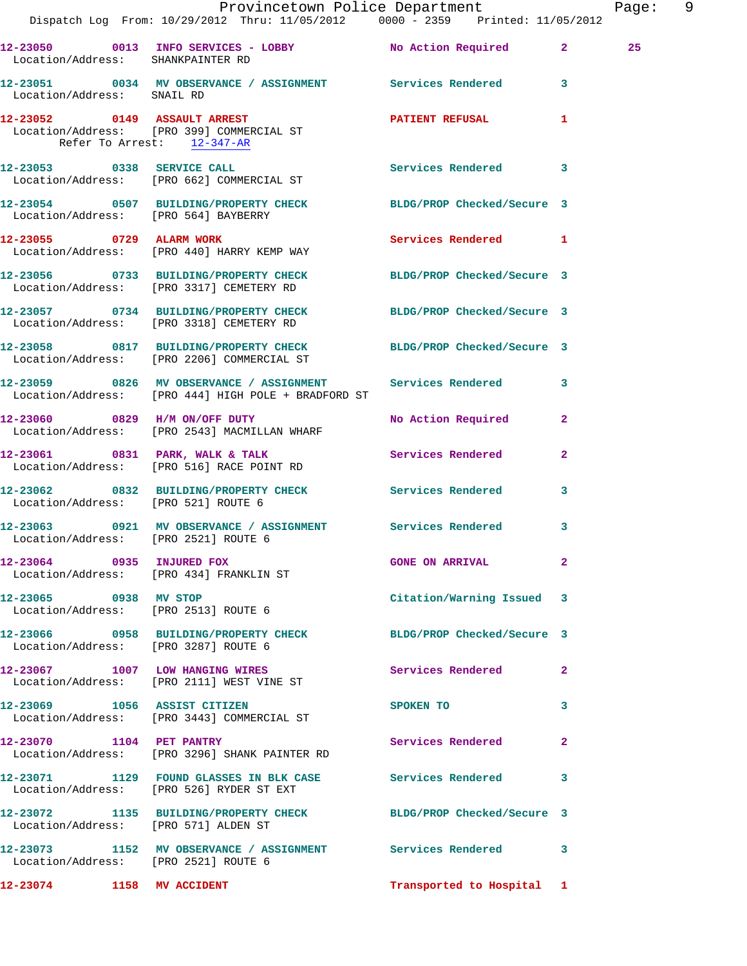|                                     | Provincetown Police Department<br>Dispatch Log From: 10/29/2012 Thru: 11/05/2012 0000 - 2359 Printed: 11/05/2012    |                           | Page: 9        |  |
|-------------------------------------|---------------------------------------------------------------------------------------------------------------------|---------------------------|----------------|--|
|                                     |                                                                                                                     |                           |                |  |
|                                     | 12-23050 0013 INFO SERVICES - LOBBY No Action Required 2<br>Location/Address: SHANKPAINTER RD                       |                           | 25             |  |
| Location/Address: SNAIL RD          | 12-23051 0034 MV OBSERVANCE / ASSIGNMENT Services Rendered 3                                                        |                           |                |  |
| Refer To Arrest: 12-347-AR          | 12-23052 0149 ASSAULT ARREST<br>Location/Address: [PRO 399] COMMERCIAL ST                                           | PATIENT REFUSAL 1         |                |  |
|                                     | 12-23053 0338 SERVICE CALL<br>Location/Address: [PRO 662] COMMERCIAL ST                                             | Services Rendered 3       |                |  |
|                                     | 12-23054 0507 BUILDING/PROPERTY CHECK BLDG/PROP Checked/Secure 3<br>Location/Address: [PRO 564] BAYBERRY            |                           |                |  |
|                                     | 12-23055 0729 ALARM WORK<br>Location/Address: [PRO 440] HARRY KEMP WAY                                              | Services Rendered 1       |                |  |
|                                     | 12-23056 0733 BUILDING/PROPERTY CHECK BLDG/PROP Checked/Secure 3<br>Location/Address: [PRO 3317] CEMETERY RD        |                           |                |  |
|                                     | 12-23057 0734 BUILDING/PROPERTY CHECK BLDG/PROP Checked/Secure 3<br>Location/Address: [PRO 3318] CEMETERY RD        |                           |                |  |
|                                     | 12-23058 0817 BUILDING/PROPERTY CHECK BLDG/PROP Checked/Secure 3<br>Location/Address: [PRO 2206] COMMERCIAL ST      |                           |                |  |
|                                     | 12-23059 0826 MV OBSERVANCE / ASSIGNMENT Services Rendered 3<br>Location/Address: [PRO 444] HIGH POLE + BRADFORD ST |                           |                |  |
|                                     | 12-23060 0829 H/M ON/OFF DUTY<br>Location/Address: [PRO 2543] MACMILLAN WHARF                                       | No Action Required 2      |                |  |
|                                     | 12-23061 0831 PARK, WALK & TALK Services Rendered<br>Location/Address: [PRO 516] RACE POINT RD                      |                           | $\overline{2}$ |  |
| Location/Address: [PRO 521] ROUTE 6 | 12-23062 0832 BUILDING/PROPERTY CHECK Services Rendered                                                             |                           | $\mathbf{3}$   |  |
|                                     | 12-23063 0921 MV OBSERVANCE / ASSIGNMENT Services Rendered 3<br>Location/Address: [PRO 2521] ROUTE 6                |                           |                |  |
|                                     | 12-23064 0935 INJURED FOX<br>Location/Address: [PRO 434] FRANKLIN ST                                                | GONE ON ARRIVAL 2         |                |  |
|                                     | 12-23065 0938 MV STOP<br>Location/Address: [PRO 2513] ROUTE 6                                                       | Citation/Warning Issued 3 |                |  |
|                                     | 12-23066 0958 BUILDING/PROPERTY CHECK BLDG/PROP Checked/Secure 3<br>Location/Address: [PRO 3287] ROUTE 6            |                           |                |  |
|                                     | 12-23067 1007 LOW HANGING WIRES<br>Location/Address: [PRO 2111] WEST VINE ST                                        | Services Rendered 2       |                |  |
| 12-23069 1056 ASSIST CITIZEN        | Location/Address: [PRO 3443] COMMERCIAL ST                                                                          | SPOKEN TO 3               |                |  |
|                                     | 12-23070 1104 PET PANTRY<br>Location/Address: [PRO 3296] SHANK PAINTER RD                                           | Services Rendered 2       |                |  |
|                                     | 12-23071 1129 FOUND GLASSES IN BLK CASE Services Rendered 3<br>Location/Address: [PRO 526] RYDER ST EXT             |                           |                |  |
|                                     | 12-23072 1135 BUILDING/PROPERTY CHECK BLDG/PROP Checked/Secure 3<br>Location/Address: [PRO 571] ALDEN ST            |                           |                |  |
|                                     | 12-23073 1152 MV OBSERVANCE / ASSIGNMENT Services Rendered 3<br>Location/Address: [PRO 2521] ROUTE 6                |                           |                |  |
| 12-23074 1158 MV ACCIDENT           |                                                                                                                     | Transported to Hospital 1 |                |  |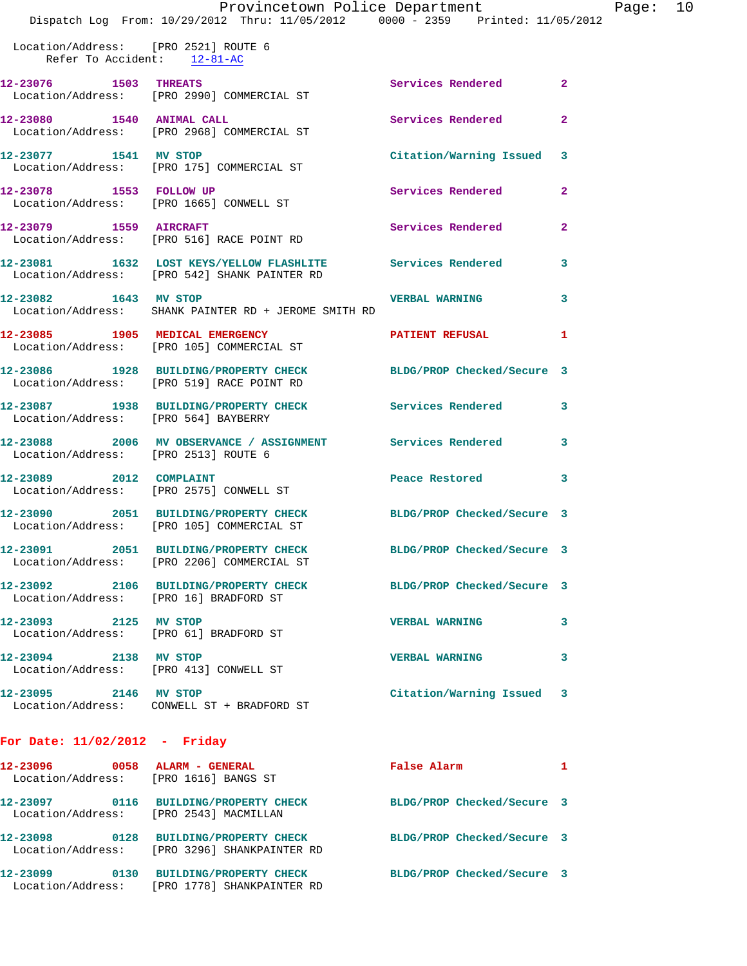|                                                                                |  | Provincetown Police Department |  |  | Page: | 10 |
|--------------------------------------------------------------------------------|--|--------------------------------|--|--|-------|----|
| Dispatch Log From: 10/29/2012 Thru: 11/05/2012 0000 - 2359 Printed: 11/05/2012 |  |                                |  |  |       |    |

 Location/Address: [PRO 2521] ROUTE 6 Refer To Accident: 12-81-AC **12-23076 1503 THREATS Services Rendered 2**  Location/Address: [PRO 2990] COMMERCIAL ST **12-23080 1540 ANIMAL CALL Services Rendered 2**  Location/Address: [PRO 2968] COMMERCIAL ST **12-23077 1541 MV STOP Citation/Warning Issued 3**  Location/Address: [PRO 175] COMMERCIAL ST **12-23078 1553 FOLLOW UP Services Rendered 2**  Location/Address: [PRO 1665] CONWELL ST **12-23079 1559 AIRCRAFT Services Rendered 2**  Location/Address: [PRO 516] RACE POINT RD **12-23081 1632 LOST KEYS/YELLOW FLASHLITE Services Rendered 3**  Location/Address: [PRO 542] SHANK PAINTER RD **12-23082 1643 MV STOP VERBAL WARNING 3**  Location/Address: SHANK PAINTER RD + JEROME SMITH RD 12-23085 1905 MEDICAL EMERGENCY **12-23085** 1905 1 Location/Address: [PRO 105] COMMERCIAL ST **12-23086 1928 BUILDING/PROPERTY CHECK BLDG/PROP Checked/Secure 3**  Location/Address: [PRO 519] RACE POINT RD **12-23087 1938 BUILDING/PROPERTY CHECK Services Rendered 3**  Location/Address: [PRO 564] BAYBERRY **12-23088 2006 MV OBSERVANCE / ASSIGNMENT Services Rendered 3**  Location/Address: [PRO 2513] ROUTE 6 **12-23089 2012 COMPLAINT Peace Restored 3**  Location/Address: [PRO 2575] CONWELL ST **12-23090 2051 BUILDING/PROPERTY CHECK BLDG/PROP Checked/Secure 3**  Location/Address: [PRO 105] COMMERCIAL ST **12-23091 2051 BUILDING/PROPERTY CHECK BLDG/PROP Checked/Secure 3**  Location/Address: [PRO 2206] COMMERCIAL ST **12-23092 2106 BUILDING/PROPERTY CHECK BLDG/PROP Checked/Secure 3**  Location/Address: [PRO 16] BRADFORD ST **12-23093 2125 MV STOP VERBAL WARNING 3**  Location/Address: [PRO 61] BRADFORD ST **12-23094 2138 MV STOP VERBAL WARNING 3**  Location/Address: [PRO 413] CONWELL ST **12-23095 2146 MV STOP Citation/Warning Issued 3**  Location/Address: CONWELL ST + BRADFORD ST **For Date: 11/02/2012 - Friday 12-23096 0058 ALARM - GENERAL False Alarm 1** 

| 12-23096<br>Location/Address: | ,,,,,,, | ALARM - GENERAL<br>[PRO 1616] BANGS ST                       | Faise Alarm                |  |
|-------------------------------|---------|--------------------------------------------------------------|----------------------------|--|
| 12-23097<br>Location/Address: | 0116    | <b>BUILDING/PROPERTY CHECK</b><br>[PRO 2543] MACMILLAN       | BLDG/PROP Checked/Secure 3 |  |
| 12-23098<br>Location/Address: | 0128    | <b>BUILDING/PROPERTY CHECK</b><br>[PRO 3296] SHANKPAINTER RD | BLDG/PROP Checked/Secure 3 |  |
| 12-23099<br>Location/Address: | 0130    | <b>BUILDING/PROPERTY CHECK</b><br>[PRO 1778] SHANKPAINTER RD | BLDG/PROP Checked/Secure 3 |  |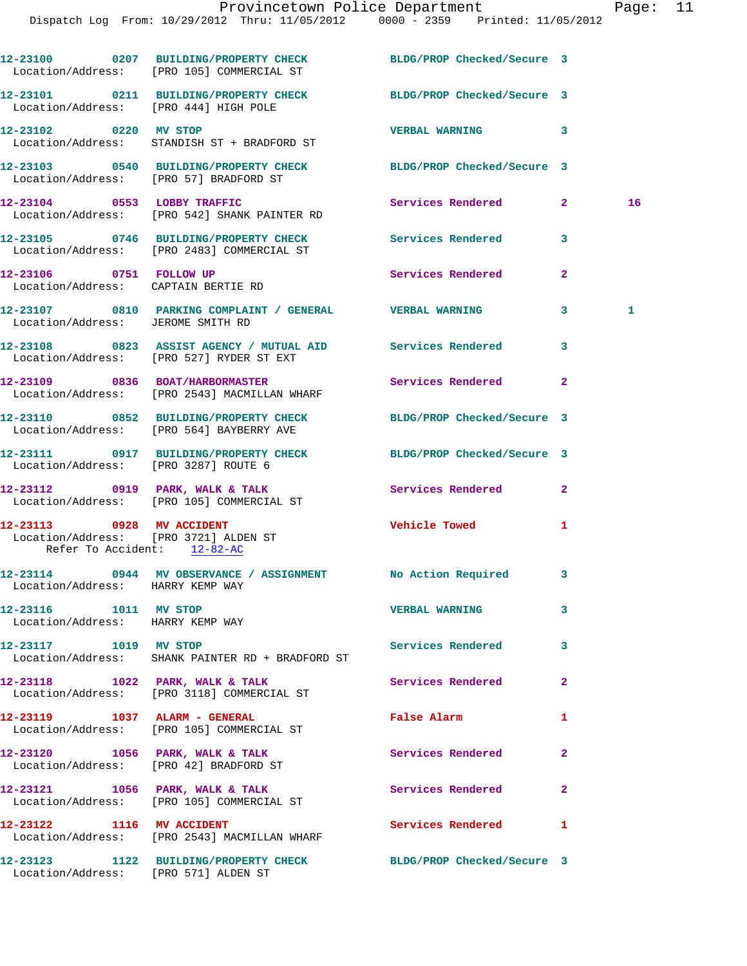Dispatch Log From: 10/29/2012 Thru: 11/05/2012 0000 - 2359 Printed: 11/05/2012

|                                                                                                   | 12-23100 0207 BUILDING/PROPERTY CHECK BLDG/PROP Checked/Secure 3<br>Location/Address: [PRO 105] COMMERCIAL ST |                            |                |    |
|---------------------------------------------------------------------------------------------------|---------------------------------------------------------------------------------------------------------------|----------------------------|----------------|----|
| Location/Address: [PRO 444] HIGH POLE                                                             | 12-23101 0211 BUILDING/PROPERTY CHECK                                                                         | BLDG/PROP Checked/Secure 3 |                |    |
| 12-23102 0220 MV STOP                                                                             | Location/Address: STANDISH ST + BRADFORD ST                                                                   | VERBAL WARNING 3           |                |    |
| Location/Address: [PRO 57] BRADFORD ST                                                            | 12-23103 0540 BUILDING/PROPERTY CHECK                                                                         | BLDG/PROP Checked/Secure 3 |                |    |
|                                                                                                   | 12-23104 0553 LOBBY TRAFFIC<br>Location/Address: [PRO 542] SHANK PAINTER RD                                   | Services Rendered          | $\mathbf{2}$   | 16 |
|                                                                                                   | 12-23105 0746 BUILDING/PROPERTY CHECK Services Rendered<br>Location/Address: [PRO 2483] COMMERCIAL ST         |                            | 3              |    |
| 12-23106 0751 FOLLOW UP<br>Location/Address: CAPTAIN BERTIE RD                                    |                                                                                                               | Services Rendered          | 2              |    |
|                                                                                                   | 12-23107 0810 PARKING COMPLAINT / GENERAL VERBAL WARNING<br>Location/Address: JEROME SMITH RD                 |                            | 3              | 1  |
|                                                                                                   | 12-23108 0823 ASSIST AGENCY / MUTUAL AID Services Rendered<br>Location/Address: [PRO 527] RYDER ST EXT        |                            | 3              |    |
|                                                                                                   | 12-23109 0836 BOAT/HARBORMASTER<br>Location/Address: [PRO 2543] MACMILLAN WHARF                               | Services Rendered          | $\overline{2}$ |    |
|                                                                                                   | 12-23110 0852 BUILDING/PROPERTY CHECK<br>Location/Address: [PRO 564] BAYBERRY AVE                             | BLDG/PROP Checked/Secure 3 |                |    |
| Location/Address: [PRO 3287] ROUTE 6                                                              | 12-23111 0917 BUILDING/PROPERTY CHECK                                                                         | BLDG/PROP Checked/Secure 3 |                |    |
|                                                                                                   | 12-23112 0919 PARK, WALK & TALK<br>Location/Address: [PRO 105] COMMERCIAL ST                                  | <b>Services Rendered</b>   | $\mathbf{2}$   |    |
| 12-23113 0928 MV ACCIDENT<br>Location/Address: [PRO 3721] ALDEN ST<br>Refer To Accident: 12-82-AC |                                                                                                               | <b>Vehicle Towed State</b> | 1              |    |
| Location/Address: HARRY KEMP WAY                                                                  | 12-23114 0944 MV OBSERVANCE / ASSIGNMENT No Action Required 3                                                 |                            |                |    |
| 12-23116 1011 MV STOP<br>Location/Address: HARRY KEMP WAY                                         |                                                                                                               | <b>VERBAL WARNING</b>      | 3              |    |
| 12-23117 1019 MV STOP                                                                             | Location/Address: SHANK PAINTER RD + BRADFORD ST                                                              | Services Rendered          | 3              |    |
|                                                                                                   | 12-23118 1022 PARK, WALK & TALK<br>Location/Address: [PRO 3118] COMMERCIAL ST                                 | <b>Services Rendered</b>   | $\mathbf{2}$   |    |
|                                                                                                   | 12-23119 1037 ALARM - GENERAL<br>Location/Address: [PRO 105] COMMERCIAL ST                                    | False Alarm                | 1              |    |
|                                                                                                   | $12-23120$ 1056 PARK, WALK & TALK<br>Location/Address: [PRO 42] BRADFORD ST                                   | Services Rendered          | $\mathbf{2}$   |    |
|                                                                                                   | 12-23121 1056 PARK, WALK & TALK<br>Location/Address: [PRO 105] COMMERCIAL ST                                  | Services Rendered          | $\mathbf{2}$   |    |
| 12-23122 1116 MV ACCIDENT                                                                         | Location/Address: [PRO 2543] MACMILLAN WHARF                                                                  | Services Rendered          | 1              |    |
| Location/Address: [PRO 571] ALDEN ST                                                              | 12-23123 1122 BUILDING/PROPERTY CHECK BLDG/PROP Checked/Secure 3                                              |                            |                |    |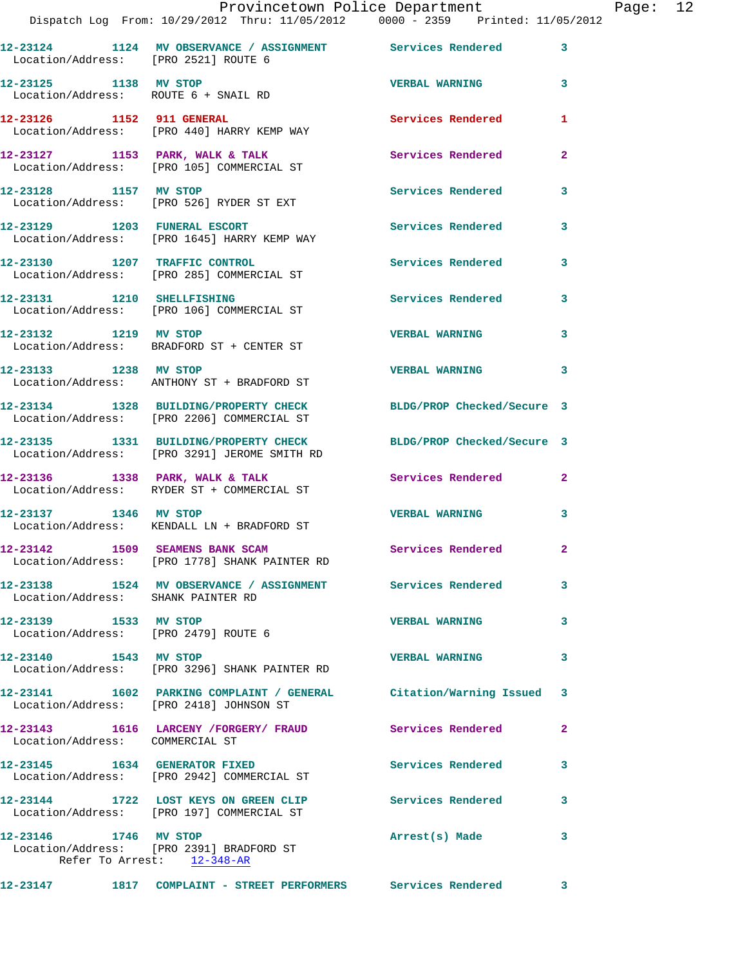|                                                               | Dispatch Log From: 10/29/2012 Thru: 11/05/2012 0000 - 2359 Printed: 11/05/2012                                   | Provincetown Police Department Page: 12 |              |  |
|---------------------------------------------------------------|------------------------------------------------------------------------------------------------------------------|-----------------------------------------|--------------|--|
| Location/Address: [PRO 2521] ROUTE 6                          | 12-23124 1124 MV OBSERVANCE / ASSIGNMENT Services Rendered 3                                                     |                                         |              |  |
| 12-23125 1138 MV STOP<br>Location/Address: ROUTE 6 + SNAIL RD |                                                                                                                  | <b>VERBAL WARNING 3</b>                 |              |  |
|                                                               | 12-23126 1152 911 GENERAL<br>Location/Address: [PRO 440] HARRY KEMP WAY                                          | <b>Services Rendered</b>                | 1            |  |
|                                                               | 12-23127 1153 PARK, WALK & TALK<br>Location/Address: [PRO 105] COMMERCIAL ST Services Rendered                   |                                         | $\mathbf{2}$ |  |
|                                                               | 12-23128 1157 MV STOP<br>Location/Address: [PRO 526] RYDER ST EXT                                                | Services Rendered                       | $\mathbf{3}$ |  |
|                                                               | 12-23129 1203 FUNERAL ESCORT<br>Location/Address: [PRO 1645] HARRY KEMP WAY                                      | Services Rendered                       | 3            |  |
|                                                               | 12-23130 1207 TRAFFIC CONTROL<br>Location/Address: [PRO 285] COMMERCIAL ST                                       | Services Rendered 3                     |              |  |
|                                                               | 12-23131 1210 SHELLFISHING<br>Location/Address: [PRO 106] COMMERCIAL ST                                          | Services Rendered                       | 3            |  |
| 12-23132 1219 MV STOP                                         | Location/Address: BRADFORD ST + CENTER ST                                                                        | <b>VERBAL WARNING</b>                   | $\mathbf{3}$ |  |
|                                                               | 12-23133 1238 MV STOP<br>Location/Address: ANTHONY ST + BRADFORD ST                                              | <b>VERBAL WARNING</b>                   | 3            |  |
|                                                               | 12-23134 1328 BUILDING/PROPERTY CHECK BLDG/PROP Checked/Secure 3<br>Location/Address: [PRO 2206] COMMERCIAL ST   |                                         |              |  |
|                                                               | 12-23135 1331 BUILDING/PROPERTY CHECK BLDG/PROP Checked/Secure 3<br>Location/Address: [PRO 3291] JEROME SMITH RD |                                         |              |  |
|                                                               | 12-23136 1338 PARK, WALK & TALK Services Rendered<br>Location/Address: RYDER ST + COMMERCIAL ST                  |                                         | $\mathbf{2}$ |  |
|                                                               | 12-23137 1346 MV STOP<br>Location/Address: KENDALL LN + BRADFORD ST                                              | <b>VERBAL WARNING</b>                   | 3            |  |
|                                                               | 12-23142 1509 SEAMENS BANK SCAM<br>Location/Address: [PRO 1778] SHANK PAINTER RD                                 | <b>Services Rendered</b>                |              |  |
| Location/Address: SHANK PAINTER RD                            | 12-23138 1524 MV OBSERVANCE / ASSIGNMENT Services Rendered                                                       |                                         | 3            |  |
| 12-23139 1533 MV STOP<br>Location/Address: [PRO 2479] ROUTE 6 |                                                                                                                  | <b>VERBAL WARNING</b>                   | 3            |  |
| 12-23140 1543 MV STOP                                         | Location/Address: [PRO 3296] SHANK PAINTER RD                                                                    | <b>VERBAL WARNING</b>                   | 3            |  |
|                                                               | 12-23141 1602 PARKING COMPLAINT / GENERAL Citation/Warning Issued 3<br>Location/Address: [PRO 2418] JOHNSON ST   |                                         |              |  |
| Location/Address: COMMERCIAL ST                               | 12-23143 1616 LARCENY /FORGERY/ FRAUD Services Rendered                                                          |                                         | 2            |  |
|                                                               | 12-23145 1634 GENERATOR FIXED<br>Location/Address: [PRO 2942] COMMERCIAL ST                                      | <b>Services Rendered</b>                | 3            |  |
|                                                               | 12-23144 1722 LOST KEYS ON GREEN CLIP Services Rendered<br>Location/Address: [PRO 197] COMMERCIAL ST             |                                         | 3            |  |
| 12-23146 1746 MV STOP                                         | Location/Address: [PRO 2391] BRADFORD ST<br>Refer To Arrest: 12-348-AR                                           | Arrest(s) Made                          | 3            |  |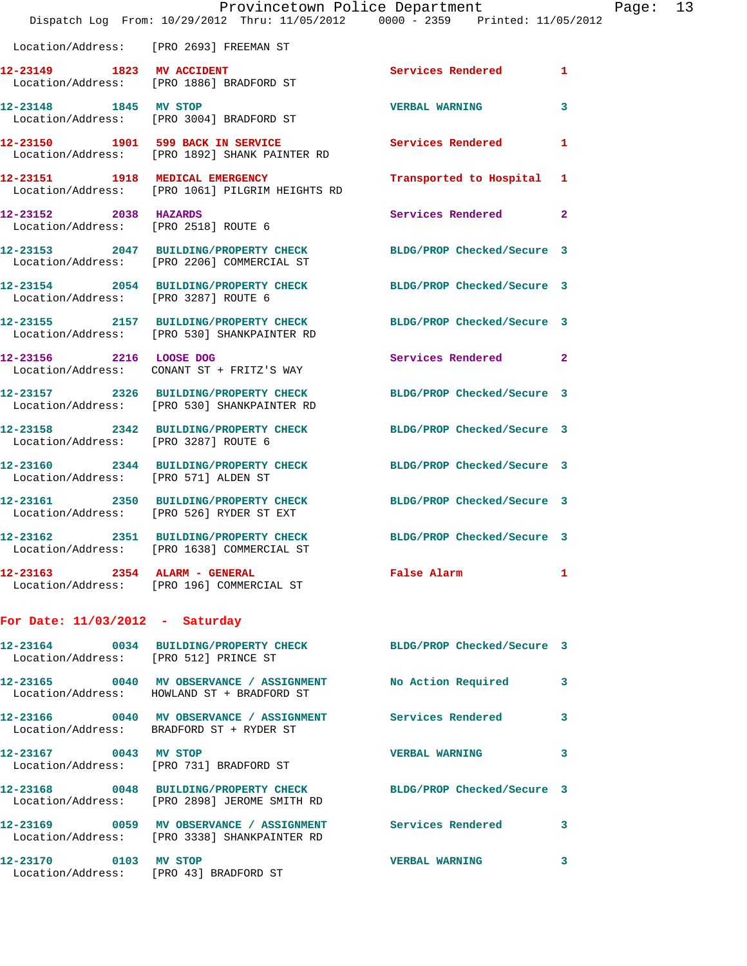|                                       | Provincetown Police Department<br>Dispatch Log From: 10/29/2012 Thru: 11/05/2012 0000 - 2359 Printed: 11/05/2012 |                                 |                |
|---------------------------------------|------------------------------------------------------------------------------------------------------------------|---------------------------------|----------------|
|                                       | Location/Address: [PRO 2693] FREEMAN ST                                                                          |                                 |                |
| 12-23149 1823 MV ACCIDENT             | Location/Address: [PRO 1886] BRADFORD ST                                                                         | Services Rendered               | 1              |
| 12-23148 1845 MV STOP                 | Location/Address: [PRO 3004] BRADFORD ST                                                                         | <b>VERBAL WARNING</b>           | 3              |
|                                       | 12-23150 1901 599 BACK IN SERVICE<br>Location/Address: [PRO 1892] SHANK PAINTER RD                               | <b>Services Rendered</b>        | 1              |
|                                       | 12-23151 1918 MEDICAL EMERGENCY<br>Location/Address: [PRO 1061] PILGRIM HEIGHTS RD                               | Transported to Hospital         | 1              |
| 12-23152 2038 HAZARDS                 | Location/Address: [PRO 2518] ROUTE 6                                                                             | Services Rendered               | $\overline{a}$ |
|                                       | 12-23153 2047 BUILDING/PROPERTY CHECK<br>Location/Address: [PRO 2206] COMMERCIAL ST                              | BLDG/PROP Checked/Secure 3      |                |
| Location/Address: [PRO 3287] ROUTE 6  | 12-23154 2054 BUILDING/PROPERTY CHECK                                                                            | BLDG/PROP Checked/Secure 3      |                |
|                                       | 12-23155 2157 BUILDING/PROPERTY CHECK<br>Location/Address: [PRO 530] SHANKPAINTER RD                             | BLDG/PROP Checked/Secure 3      |                |
| 12-23156 2216 LOOSE DOG               | Location/Address: CONANT ST + FRITZ'S WAY                                                                        | Services Rendered               | $\mathbf{2}$   |
|                                       | 12-23157 2326 BUILDING/PROPERTY CHECK<br>Location/Address: [PRO 530] SHANKPAINTER RD                             | BLDG/PROP Checked/Secure 3      |                |
| Location/Address: [PRO 3287] ROUTE 6  | 12-23158 2342 BUILDING/PROPERTY CHECK                                                                            | BLDG/PROP Checked/Secure 3      |                |
| Location/Address: [PRO 571] ALDEN ST  | 12-23160 2344 BUILDING/PROPERTY CHECK                                                                            | BLDG/PROP Checked/Secure 3      |                |
|                                       | 12-23161 2350 BUILDING/PROPERTY CHECK<br>Location/Address: [PRO 526] RYDER ST EXT                                | BLDG/PROP Checked/Secure 3      |                |
|                                       | 12-23162 2351 BUILDING/PROPERTY CHECK BLDG/PROP Checked/Secure 3<br>Location/Address: [PRO 1638] COMMERCIAL ST   |                                 |                |
|                                       | 12-23163 2354 ALARM - GENERAL<br>Location/Address: [PRO 196] COMMERCIAL ST                                       | False Alarm <b>Example 2018</b> | 1              |
| For Date: $11/03/2012$ - Saturday     |                                                                                                                  |                                 |                |
| Location/Address: [PRO 512] PRINCE ST | 12-23164 0034 BUILDING/PROPERTY CHECK BLDG/PROP Checked/Secure 3                                                 |                                 |                |
|                                       | 12-23165 0040 MV OBSERVANCE / ASSIGNMENT NO Action Required<br>Location/Address: HOWLAND ST + BRADFORD ST        |                                 | 3              |
|                                       | 12-23166 0040 MV OBSERVANCE / ASSIGNMENT Services Rendered<br>Location/Address: BRADFORD ST + RYDER ST           |                                 | 3              |
| 12-23167 0043 MV STOP                 | Location/Address: [PRO 731] BRADFORD ST                                                                          | <b>VERBAL WARNING</b>           | 3              |
|                                       | 12-23168 0048 BUILDING/PROPERTY CHECK<br>Location/Address: [PRO 2898] JEROME SMITH RD                            | BLDG/PROP Checked/Secure 3      |                |
|                                       | 12-23169 0059 MV OBSERVANCE / ASSIGNMENT Services Rendered<br>Location/Address: [PRO 3338] SHANKPAINTER RD       |                                 | 3              |
| 12-23170 0103 MV STOP                 | Location/Address: [PRO 43] BRADFORD ST                                                                           | <b>VERBAL WARNING</b>           | 3              |

Page:  $13$ <br>  $2012$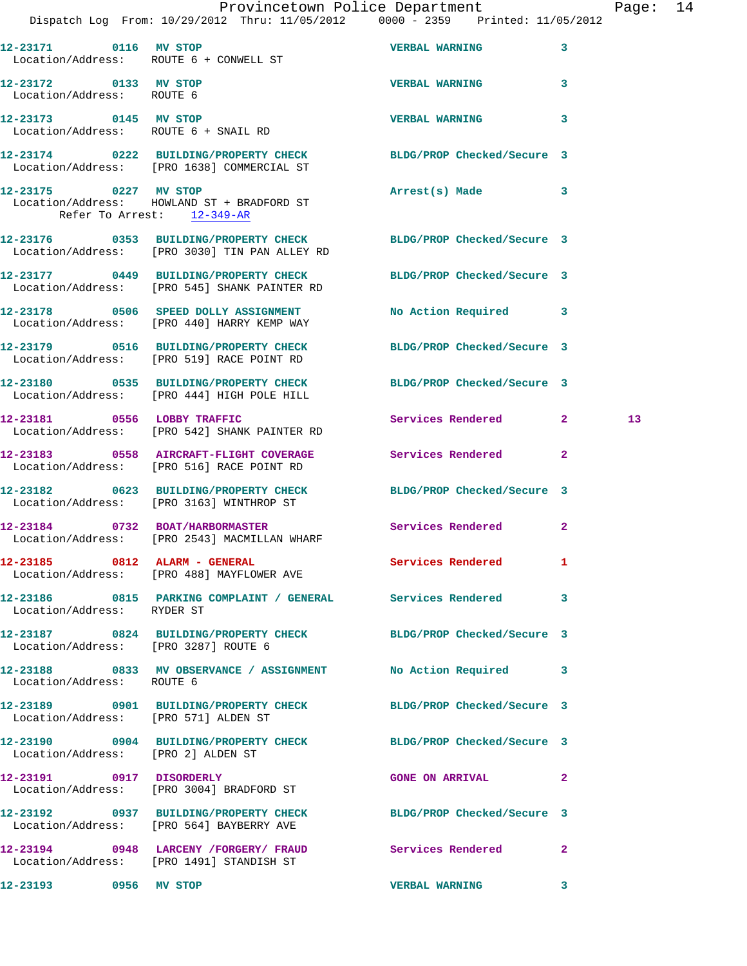|                                                    | Dispatch Log From: 10/29/2012 Thru: 11/05/2012 0000 - 2359 Printed: 11/05/2012                                    | Provincetown Police Department |              | Page: 14        |  |
|----------------------------------------------------|-------------------------------------------------------------------------------------------------------------------|--------------------------------|--------------|-----------------|--|
|                                                    | 12-23171 0116 MV STOP<br>Location/Address: ROUTE 6 + CONWELL ST                                                   | <b>VERBAL WARNING</b> 3        |              |                 |  |
| 12-23172 0133 MV STOP<br>Location/Address: ROUTE 6 |                                                                                                                   | VERBAL WARNING 3               |              |                 |  |
| 12-23173 0145 MV STOP                              | Location/Address: ROUTE 6 + SNAIL RD                                                                              | <b>VERBAL WARNING</b>          | $\mathbf{3}$ |                 |  |
|                                                    | 12-23174 0222 BUILDING/PROPERTY CHECK BLDG/PROP Checked/Secure 3<br>Location/Address: [PRO 1638] COMMERCIAL ST    |                                |              |                 |  |
| Refer To Arrest: 12-349-AR                         | 12-23175 0227 MV STOP<br>Location/Address: HOWLAND ST + BRADFORD ST                                               | Arrest(s) Made 3               |              |                 |  |
|                                                    | 12-23176 0353 BUILDING/PROPERTY CHECK BLDG/PROP Checked/Secure 3<br>Location/Address: [PRO 3030] TIN PAN ALLEY RD |                                |              |                 |  |
|                                                    | 12-23177 0449 BUILDING/PROPERTY CHECK BLDG/PROP Checked/Secure 3<br>Location/Address: [PRO 545] SHANK PAINTER RD  |                                |              |                 |  |
|                                                    | 12-23178 0506 SPEED DOLLY ASSIGNMENT<br>Location/Address: [PRO 440] HARRY KEMP WAY                                | No Action Required 3           |              |                 |  |
|                                                    | 12-23179 0516 BUILDING/PROPERTY CHECK BLDG/PROP Checked/Secure 3<br>Location/Address: [PRO 519] RACE POINT RD     |                                |              |                 |  |
|                                                    | 12-23180 0535 BUILDING/PROPERTY CHECK BLDG/PROP Checked/Secure 3<br>Location/Address: [PRO 444] HIGH POLE HILL    |                                |              |                 |  |
|                                                    | 12-23181 0556 LOBBY TRAFFIC<br>Location/Address: [PRO 542] SHANK PAINTER RD                                       | Services Rendered 2            |              | 13 <sup>°</sup> |  |
|                                                    | 12-23183 0558 AIRCRAFT-FLIGHT COVERAGE Services Rendered 2<br>Location/Address: [PRO 516] RACE POINT RD           |                                |              |                 |  |
|                                                    | 12-23182 0623 BUILDING/PROPERTY CHECK BLDG/PROP Checked/Secure 3<br>Location/Address: [PRO 3163] WINTHROP ST      |                                |              |                 |  |
|                                                    | 12-23184 0732 BOAT/HARBORMASTER Services Rendered 2<br>Location/Address: [PRO 2543] MACMILLAN WHARF               |                                |              |                 |  |
|                                                    | 12-23185 0812 ALARM - GENERAL<br>Location/Address: [PRO 488] MAYFLOWER AVE                                        | Services Rendered 1            |              |                 |  |
| Location/Address: RYDER ST                         | 12-23186 0815 PARKING COMPLAINT / GENERAL Services Rendered 3                                                     |                                |              |                 |  |
| Location/Address: [PRO 3287] ROUTE 6               | 12-23187 0824 BUILDING/PROPERTY CHECK BLDG/PROP Checked/Secure 3                                                  |                                |              |                 |  |
| Location/Address: ROUTE 6                          | 12-23188 0833 MV OBSERVANCE / ASSIGNMENT No Action Required 3                                                     |                                |              |                 |  |
| Location/Address: [PRO 571] ALDEN ST               | 12-23189 0901 BUILDING/PROPERTY CHECK BLDG/PROP Checked/Secure 3                                                  |                                |              |                 |  |
| Location/Address: [PRO 2] ALDEN ST                 | 12-23190 0904 BUILDING/PROPERTY CHECK BLDG/PROP Checked/Secure 3                                                  |                                |              |                 |  |
| 12-23191 0917 DISORDERLY                           | Location/Address: [PRO 3004] BRADFORD ST                                                                          | GONE ON ARRIVAL 2              |              |                 |  |
|                                                    | 12-23192 0937 BUILDING/PROPERTY CHECK BLDG/PROP Checked/Secure 3<br>Location/Address: [PRO 564] BAYBERRY AVE      |                                |              |                 |  |
|                                                    | 12-23194 0948 LARCENY / FORGERY / FRAUD Services Rendered 2<br>Location/Address: [PRO 1491] STANDISH ST           |                                |              |                 |  |
| 12-23193 0956 MV STOP                              |                                                                                                                   | VERBAL WARNING 3               |              |                 |  |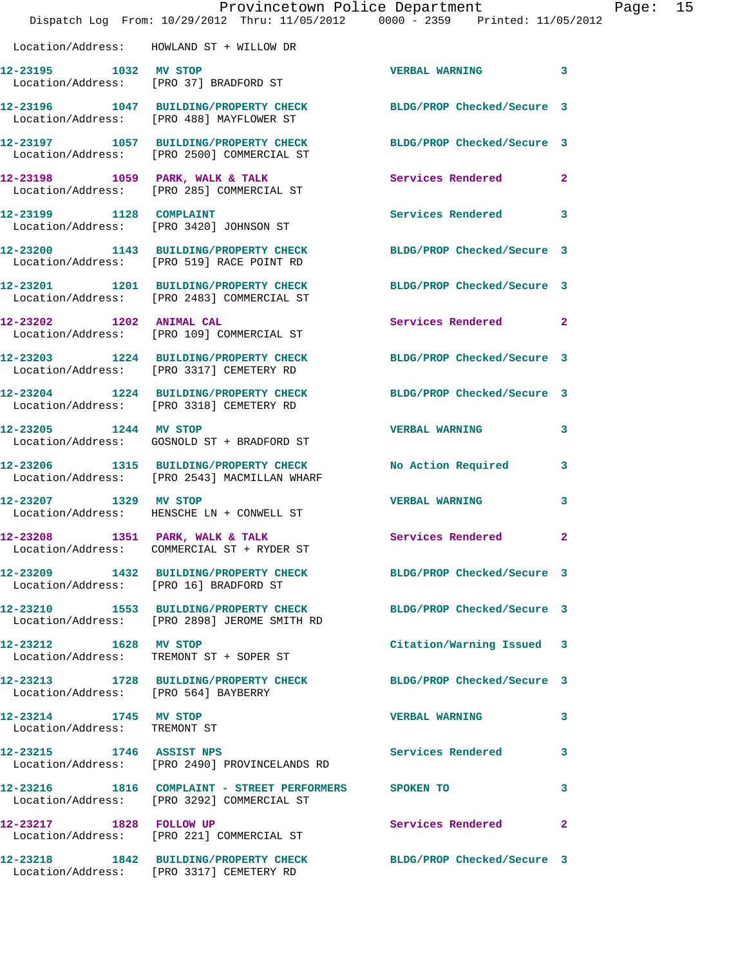|                                                       | Provincetown Police Department<br>Dispatch Log From: 10/29/2012 Thru: 11/05/2012 0000 - 2359 Printed: 11/05/2012 |                            | Page: 15     |
|-------------------------------------------------------|------------------------------------------------------------------------------------------------------------------|----------------------------|--------------|
|                                                       | Location/Address: HOWLAND ST + WILLOW DR                                                                         |                            |              |
|                                                       | 12-23195 1032 MV STOP<br>Location/Address: [PRO 37] BRADFORD ST                                                  | <b>VERBAL WARNING</b>      | 3            |
|                                                       | 12-23196 1047 BUILDING/PROPERTY CHECK BLDG/PROP Checked/Secure 3<br>Location/Address: [PRO 488] MAYFLOWER ST     |                            |              |
|                                                       | 12-23197 1057 BUILDING/PROPERTY CHECK BLDG/PROP Checked/Secure 3<br>Location/Address: [PRO 2500] COMMERCIAL ST   |                            |              |
|                                                       | 12-23198 1059 PARK, WALK & TALK<br>Location/Address: [PRO 285] COMMERCIAL ST                                     | Services Rendered          | $\mathbf{2}$ |
|                                                       | 12-23199 1128 COMPLAINT<br>Location/Address: [PRO 3420] JOHNSON ST                                               | Services Rendered          | 3            |
|                                                       | 12-23200 1143 BUILDING/PROPERTY CHECK<br>Location/Address: [PRO 519] RACE POINT RD                               | BLDG/PROP Checked/Secure 3 |              |
|                                                       | 12-23201 1201 BUILDING/PROPERTY CHECK BLDG/PROP Checked/Secure 3<br>Location/Address: [PRO 2483] COMMERCIAL ST   |                            |              |
|                                                       | 12-23202 1202 ANIMAL CAL<br>Location/Address: [PRO 109] COMMERCIAL ST                                            | Services Rendered          | $\mathbf{2}$ |
|                                                       | 12-23203 1224 BUILDING/PROPERTY CHECK<br>Location/Address: [PRO 3317] CEMETERY RD                                | BLDG/PROP Checked/Secure 3 |              |
|                                                       | 12-23204 1224 BUILDING/PROPERTY CHECK BLDG/PROP Checked/Secure 3<br>Location/Address: [PRO 3318] CEMETERY RD     |                            |              |
| 12-23205 1244 MV STOP                                 | Location/Address: GOSNOLD ST + BRADFORD ST                                                                       | <b>VERBAL WARNING</b>      | 3            |
|                                                       | 12-23206 1315 BUILDING/PROPERTY CHECK<br>Location/Address: [PRO 2543] MACMILLAN WHARF                            | No Action Required         | 3            |
| 12-23207 1329 MV STOP                                 | Location/Address: HENSCHE LN + CONWELL ST                                                                        | <b>VERBAL WARNING</b>      | 3            |
|                                                       | 12-23208 1351 PARK, WALK & TALK<br>Location/Address: COMMERCIAL ST + RYDER ST                                    | Services Rendered          | $\mathbf{2}$ |
|                                                       | 12-23209 1432 BUILDING/PROPERTY CHECK BLDG/PROP Checked/Secure 3<br>Location/Address: [PRO 16] BRADFORD ST       |                            |              |
|                                                       | 12-23210 1553 BUILDING/PROPERTY CHECK BLDG/PROP Checked/Secure 3<br>Location/Address: [PRO 2898] JEROME SMITH RD |                            |              |
| 12-23212 1628 MV STOP                                 | Location/Address: TREMONT ST + SOPER ST                                                                          | Citation/Warning Issued 3  |              |
| Location/Address: [PRO 564] BAYBERRY                  | 12-23213 1728 BUILDING/PROPERTY CHECK BLDG/PROP Checked/Secure 3                                                 |                            |              |
| 12-23214 1745 MV STOP<br>Location/Address: TREMONT ST |                                                                                                                  | <b>VERBAL WARNING</b>      | 3            |
|                                                       | 12-23215 1746 ASSIST NPS<br>Location/Address: [PRO 2490] PROVINCELANDS RD                                        | Services Rendered          | 3            |
|                                                       | 12-23216 1816 COMPLAINT - STREET PERFORMERS SPOKEN TO<br>Location/Address: [PRO 3292] COMMERCIAL ST              |                            | 3            |
|                                                       | 12-23217 1828 FOLLOW UP<br>Location/Address: [PRO 221] COMMERCIAL ST                                             | Services Rendered          | $\mathbf{2}$ |
|                                                       | 12-23218 1842 BUILDING/PROPERTY CHECK BLDG/PROP Checked/Secure 3<br>Location/Address: [PRO 3317] CEMETERY RD     |                            |              |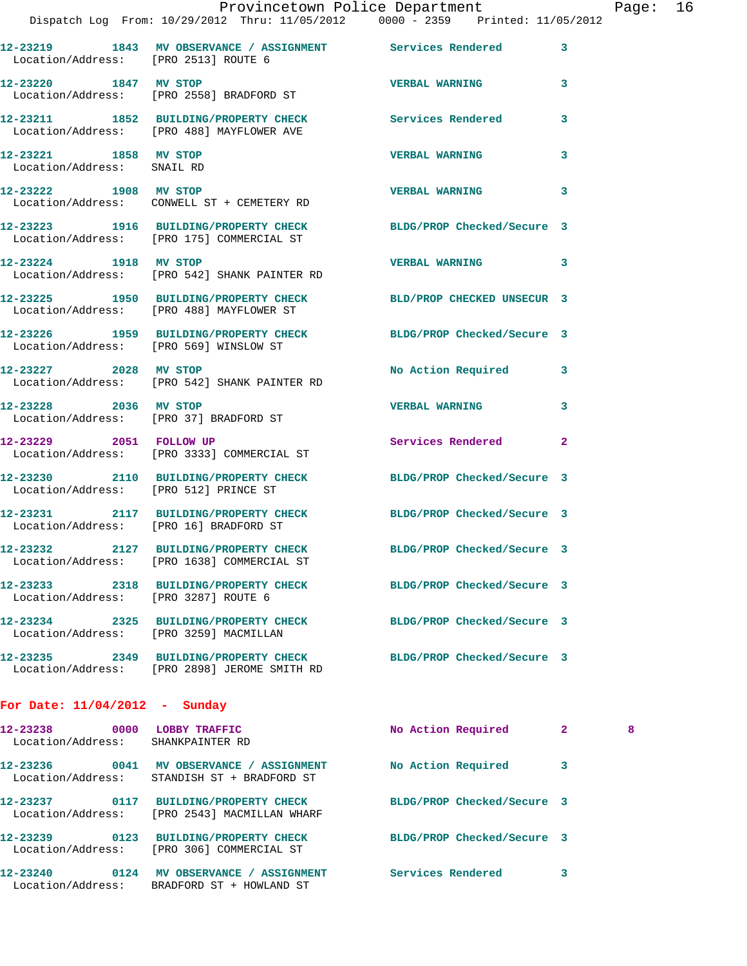|                                                                  | Provincetown Police Department                                                                                   |                            |              | Pag |
|------------------------------------------------------------------|------------------------------------------------------------------------------------------------------------------|----------------------------|--------------|-----|
|                                                                  | Dispatch Log From: 10/29/2012 Thru: 11/05/2012 0000 - 2359 Printed: 11/05/2012                                   |                            |              |     |
| Location/Address: [PRO 2513] ROUTE 6                             | 12-23219 1843 MV OBSERVANCE / ASSIGNMENT Services Rendered                                                       |                            | 3            |     |
| 12-23220 1847 MV STOP                                            | Location/Address: [PRO 2558] BRADFORD ST                                                                         | <b>VERBAL WARNING</b>      | 3            |     |
|                                                                  | 12-23211 1852 BUILDING/PROPERTY CHECK Services Rendered<br>Location/Address: [PRO 488] MAYFLOWER AVE             |                            | 3            |     |
| 12-23221 1858 MV STOP<br>Location/Address: SNAIL RD              |                                                                                                                  | <b>VERBAL WARNING</b>      | 3            |     |
|                                                                  | 12-23222 1908 MV STOP<br>Location/Address: CONWELL ST + CEMETERY RD                                              | <b>VERBAL WARNING</b>      | 3            |     |
|                                                                  | 12-23223 1916 BUILDING/PROPERTY CHECK BLDG/PROP Checked/Secure 3<br>Location/Address: [PRO 175] COMMERCIAL ST    |                            |              |     |
| 12-23224 1918 MV STOP                                            | Location/Address: [PRO 542] SHANK PAINTER RD                                                                     | <b>VERBAL WARNING</b>      | 3            |     |
|                                                                  | 12-23225 1950 BUILDING/PROPERTY CHECK BLD/PROP CHECKED UNSECUR 3<br>Location/Address: [PRO 488] MAYFLOWER ST     |                            |              |     |
|                                                                  | 12-23226 1959 BUILDING/PROPERTY CHECK BLDG/PROP Checked/Secure 3<br>Location/Address: [PRO 569] WINSLOW ST       |                            |              |     |
|                                                                  | 12-23227 2028 MV STOP<br>Location/Address: [PRO 542] SHANK PAINTER RD                                            | No Action Required         | 3            |     |
| 12-23228 2036 MV STOP                                            | Location/Address: [PRO 37] BRADFORD ST                                                                           | <b>VERBAL WARNING</b>      | 3            |     |
|                                                                  | 12-23229 2051 FOLLOW UP<br>Location/Address: [PRO 3333] COMMERCIAL ST                                            | Services Rendered          | $\mathbf{2}$ |     |
|                                                                  | 12-23230 2110 BUILDING/PROPERTY CHECK BLDG/PROP Checked/Secure 3<br>Location/Address: [PRO 512] PRINCE ST        |                            |              |     |
| Location/Address: [PRO 16] BRADFORD ST                           | 12-23231 2117 BUILDING/PROPERTY CHECK BLDG/PROP Checked/Secure 3                                                 |                            |              |     |
|                                                                  | 12-23232 2127 BUILDING/PROPERTY CHECK<br>Location/Address: [PRO 1638] COMMERCIAL ST                              | BLDG/PROP Checked/Secure 3 |              |     |
| Location/Address: [PRO 3287] ROUTE 6                             | 12-23233 2318 BUILDING/PROPERTY CHECK BLDG/PROP Checked/Secure 3                                                 |                            |              |     |
| Location/Address: [PRO 3259] MACMILLAN                           | 12-23234 2325 BUILDING/PROPERTY CHECK                                                                            | BLDG/PROP Checked/Secure 3 |              |     |
|                                                                  | 12-23235 2349 BUILDING/PROPERTY CHECK BLDG/PROP Checked/Secure 3<br>Location/Address: [PRO 2898] JEROME SMITH RD |                            |              |     |
| For Date: $11/04/2012$ - Sunday                                  |                                                                                                                  |                            |              |     |
| 12-23238 0000 LOBBY TRAFFIC<br>Location/Address: SHANKPAINTER RD |                                                                                                                  | No Action Required         | $\mathbf{2}$ | - 8 |
|                                                                  | 12-23236 0041 MV OBSERVANCE / ASSIGNMENT<br>Location/Address: STANDISH ST + BRADFORD ST                          | No Action Required         | 3            |     |
|                                                                  | 12-23237 0117 BUILDING/PROPERTY CHECK<br>Location/Address: [PRO 2543] MACMILLAN WHARF                            | BLDG/PROP Checked/Secure 3 |              |     |
|                                                                  | 12-23239 0123 BUILDING/PROPERTY CHECK BLDG/PROP Checked/Secure 3<br>Location/Address: [PRO 306] COMMERCIAL ST    |                            |              |     |
|                                                                  |                                                                                                                  |                            |              |     |

**12-23240 0124 MV OBSERVANCE / ASSIGNMENT Services Rendered 3** 

Location/Address: BRADFORD ST + HOWLAND ST

Page: 16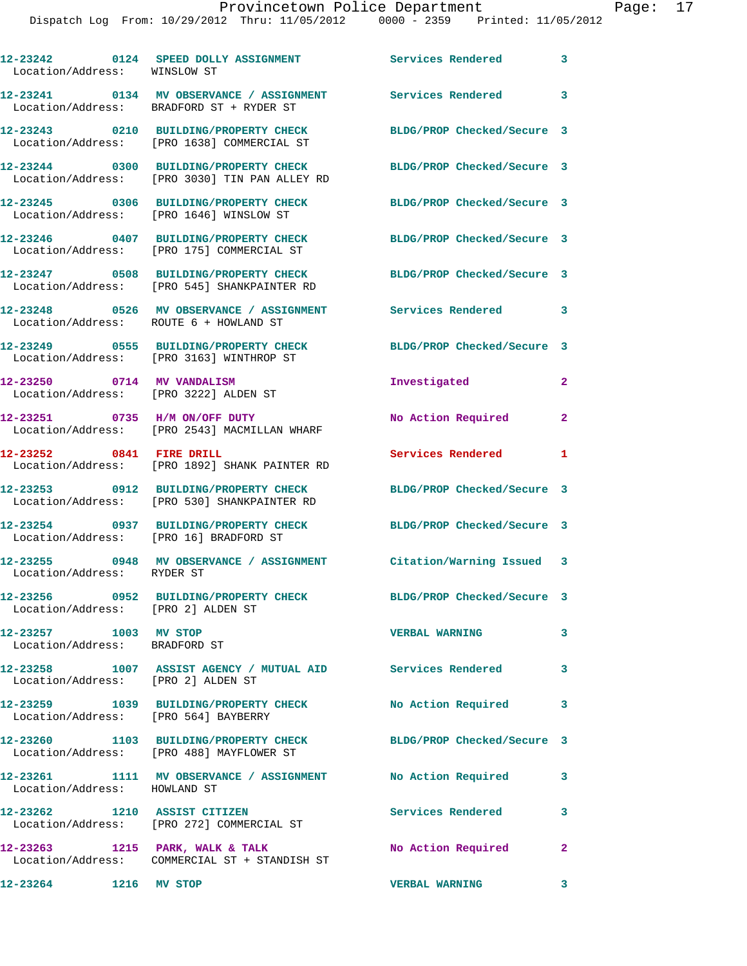| Location/Address: WINSLOW ST                           | 12-23242 0124 SPEED DOLLY ASSIGNMENT                                                                         | <b>Services Rendered</b>   | 3                       |
|--------------------------------------------------------|--------------------------------------------------------------------------------------------------------------|----------------------------|-------------------------|
|                                                        | 12-23241 0134 MV OBSERVANCE / ASSIGNMENT<br>Location/Address: BRADFORD ST + RYDER ST                         | Services Rendered 3        |                         |
|                                                        | 12-23243 0210 BUILDING/PROPERTY CHECK<br>Location/Address: [PRO 1638] COMMERCIAL ST                          | BLDG/PROP Checked/Secure 3 |                         |
|                                                        | 12-23244 0300 BUILDING/PROPERTY CHECK<br>Location/Address: [PRO 3030] TIN PAN ALLEY RD                       | BLDG/PROP Checked/Secure 3 |                         |
|                                                        | 12-23245 0306 BUILDING/PROPERTY CHECK<br>Location/Address: [PRO 1646] WINSLOW ST                             | BLDG/PROP Checked/Secure 3 |                         |
|                                                        | 12-23246 0407 BUILDING/PROPERTY CHECK<br>Location/Address: [PRO 175] COMMERCIAL ST                           | BLDG/PROP Checked/Secure 3 |                         |
|                                                        | 12-23247 0508 BUILDING/PROPERTY CHECK<br>Location/Address: [PRO 545] SHANKPAINTER RD                         | BLDG/PROP Checked/Secure 3 |                         |
| Location/Address: ROUTE 6 + HOWLAND ST                 | 12-23248 0526 MV OBSERVANCE / ASSIGNMENT                                                                     | Services Rendered 3        |                         |
|                                                        | 12-23249 0555 BUILDING/PROPERTY CHECK<br>Location/Address: [PRO 3163] WINTHROP ST                            | BLDG/PROP Checked/Secure 3 |                         |
| 12-23250 0714 MV VANDALISM                             | Location/Address: [PRO 3222] ALDEN ST                                                                        | Investigated               | $\mathbf{2}$            |
|                                                        | 12-23251 0735 H/M ON/OFF DUTY<br>Location/Address: [PRO 2543] MACMILLAN WHARF                                | No Action Required         | $\mathbf{2}$            |
| 12-23252 0841 FIRE DRILL                               | Location/Address: [PRO 1892] SHANK PAINTER RD                                                                | Services Rendered          | 1                       |
|                                                        | 12-23253 0912 BUILDING/PROPERTY CHECK<br>Location/Address: [PRO 530] SHANKPAINTER RD                         | BLDG/PROP Checked/Secure 3 |                         |
| Location/Address: [PRO 16] BRADFORD ST                 | 12-23254 0937 BUILDING/PROPERTY CHECK                                                                        | BLDG/PROP Checked/Secure 3 |                         |
| Location/Address: RYDER ST                             | 12-23255 0948 MV OBSERVANCE / ASSIGNMENT Citation/Warning Issued 3                                           |                            |                         |
| Location/Address: [PRO 2] ALDEN ST                     | 12-23256 0952 BUILDING/PROPERTY CHECK BLDG/PROP Checked/Secure 3                                             |                            |                         |
| 12-23257 1003 MV STOP<br>Location/Address: BRADFORD ST |                                                                                                              | <b>VERBAL WARNING</b>      | 3                       |
| Location/Address: [PRO 2] ALDEN ST                     | 12-23258 1007 ASSIST AGENCY / MUTUAL AID Services Rendered 3                                                 |                            |                         |
|                                                        | 12-23259 1039 BUILDING/PROPERTY CHECK<br>Location/Address: [PRO 564] BAYBERRY                                | No Action Required         | 3                       |
|                                                        | 12-23260 1103 BUILDING/PROPERTY CHECK BLDG/PROP Checked/Secure 3<br>Location/Address: [PRO 488] MAYFLOWER ST |                            |                         |
| Location/Address: HOWLAND ST                           | 12-23261 1111 MV OBSERVANCE / ASSIGNMENT No Action Required                                                  |                            | 3                       |
|                                                        | 12-23262 1210 ASSIST CITIZEN<br>Location/Address: [PRO 272] COMMERCIAL ST                                    | Services Rendered 3        |                         |
|                                                        | 12-23263 1215 PARK, WALK & TALK<br>Location/Address: COMMERCIAL ST + STANDISH ST                             | No Action Required 2       |                         |
| 12-23264 1216 MV STOP                                  |                                                                                                              | <b>VERBAL WARNING</b>      | $\overline{\mathbf{3}}$ |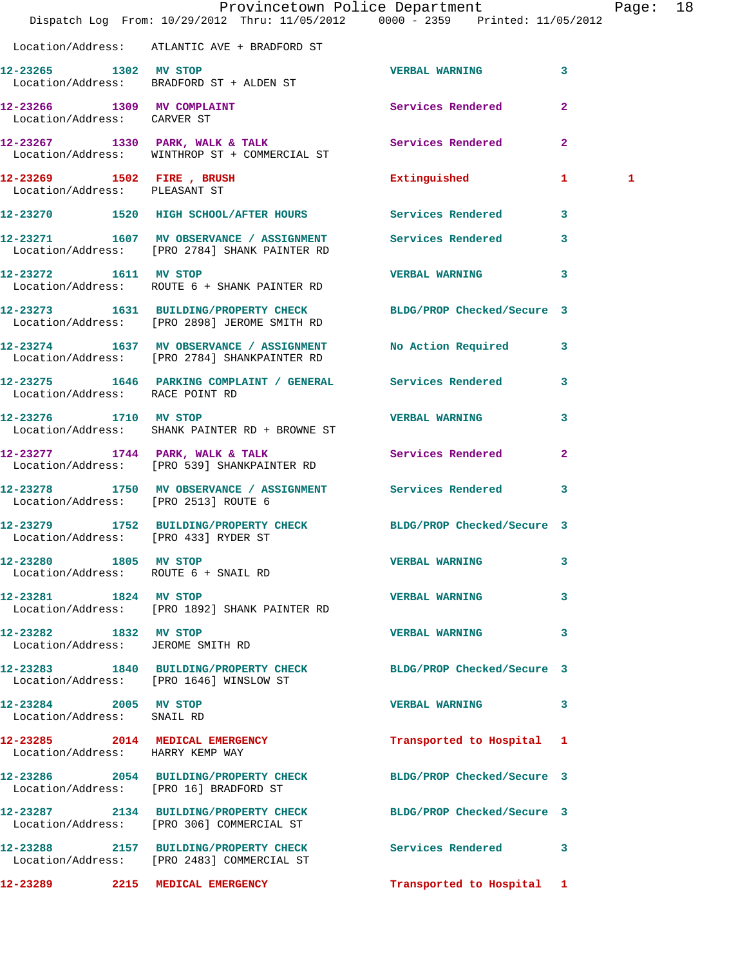|                                                            | Dispatch Log From: 10/29/2012 Thru: 11/05/2012 0000 - 2359 Printed: 11/05/2012                                       | Provincetown Police Department | Page: 18                |
|------------------------------------------------------------|----------------------------------------------------------------------------------------------------------------------|--------------------------------|-------------------------|
|                                                            | Location/Address: ATLANTIC AVE + BRADFORD ST                                                                         |                                |                         |
| 12-23265 1302 MV STOP                                      | Location/Address: BRADFORD ST + ALDEN ST                                                                             | VERBAL WARNING 3               |                         |
| Location/Address: CARVER ST                                | 12-23266 1309 MV COMPLAINT                                                                                           | Services Rendered              | $\overline{2}$          |
|                                                            | 12-23267 1330 PARK, WALK & TALK Services Rendered 2<br>Location/Address: WINTHROP ST + COMMERCIAL ST                 |                                |                         |
| Location/Address: PLEASANT ST                              | 12-23269 1502 FIRE, BRUSH                                                                                            | Extinguished 1                 | 1                       |
|                                                            | 12-23270 1520 HIGH SCHOOL/AFTER HOURS Services Rendered 3                                                            |                                |                         |
|                                                            | 12-23271 1607 MV OBSERVANCE / ASSIGNMENT<br>Location/Address: [PRO 2784] SHANK PAINTER RD                            | Services Rendered 3            |                         |
| 12-23272 1611 MV STOP                                      | Location/Address: ROUTE 6 + SHANK PAINTER RD                                                                         | VERBAL WARNING 3               |                         |
|                                                            | 12-23273   1631   BUILDING/PROPERTY CHECK BLDG/PROP Checked/Secure 3<br>Location/Address: [PRO 2898] JEROME SMITH RD |                                |                         |
|                                                            | 12-23274 1637 MV OBSERVANCE / ASSIGNMENT No Action Required 3<br>Location/Address: [PRO 2784] SHANKPAINTER RD        |                                |                         |
| Location/Address: RACE POINT RD                            | 12-23275 1646 PARKING COMPLAINT / GENERAL Services Rendered 3                                                        |                                |                         |
| 12-23276 1710 MV STOP                                      | Location/Address: SHANK PAINTER RD + BROWNE ST                                                                       | <b>VERBAL WARNING</b>          | 3                       |
|                                                            | 12-23277 1744 PARK, WALK & TALK 1997 Services Rendered 2<br>Location/Address: [PRO 539] SHANKPAINTER RD              |                                |                         |
| Location/Address: [PRO 2513] ROUTE 6                       | 12-23278 1750 MV OBSERVANCE / ASSIGNMENT Services Rendered 3                                                         |                                |                         |
| Location/Address: [PRO 433] RYDER ST                       | 12-23279 1752 BUILDING/PROPERTY CHECK BLDG/PROP Checked/Secure 3                                                     |                                |                         |
| 12-23280 1805 MV STOP                                      | Location/Address: ROUTE 6 + SNAIL RD                                                                                 | <b>VERBAL WARNING</b>          | 3                       |
| 12-23281 1824 MV STOP                                      | Location/Address: [PRO 1892] SHANK PAINTER RD                                                                        | <b>VERBAL WARNING</b>          | $\overline{\mathbf{3}}$ |
| 12-23282 1832 MV STOP<br>Location/Address: JEROME SMITH RD |                                                                                                                      | VERBAL WARNING 3               |                         |
|                                                            | 12-23283 1840 BUILDING/PROPERTY CHECK BLDG/PROP Checked/Secure 3<br>Location/Address: [PRO 1646] WINSLOW ST          |                                |                         |
| 12-23284 2005 MV STOP<br>Location/Address: SNAIL RD        |                                                                                                                      | VERBAL WARNING 3               |                         |
| Location/Address: HARRY KEMP WAY                           | 12-23285 2014 MEDICAL EMERGENCY                                                                                      | Transported to Hospital 1      |                         |
|                                                            | 12-23286 2054 BUILDING/PROPERTY CHECK BLDG/PROP Checked/Secure 3<br>Location/Address: [PRO 16] BRADFORD ST           |                                |                         |
|                                                            | 12-23287 2134 BUILDING/PROPERTY CHECK BLDG/PROP Checked/Secure 3<br>Location/Address: [PRO 306] COMMERCIAL ST        |                                |                         |
|                                                            | 12-23288 2157 BUILDING/PROPERTY CHECK Services Rendered 3<br>Location/Address: [PRO 2483] COMMERCIAL ST              |                                |                         |
|                                                            | 12-23289 2215 MEDICAL EMERGENCY                                                                                      | Transported to Hospital 1      |                         |